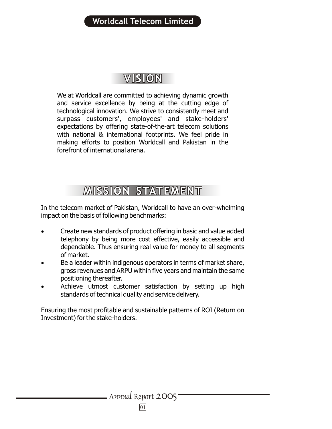## **VISION**

We at Worldcall are committed to achieving dynamic growth and service excellence by being at the cutting edge of technological innovation. We strive to consistently meet and surpass customers', employees' and stake-holders' expectations by offering state-of-the-art telecom solutions with national & international footprints. We feel pride in making efforts to position Worldcall and Pakistan in the forefront of international arena.

## MISSION STATEMENT

In the telecom market of Pakistan, Worldcall to have an over-whelming impact on the basis of following benchmarks:

Create new standards of product offering in basic and value added telephony by being more cost effective, easily accessible and dependable. Thus ensuring real value for money to all segments of market.

Be a leader within indigenous operators in terms of market share, gross revenues and ARPU within five years and maintain the same positioning thereafter.

Achieve utmost customer satisfaction by setting up high standards of technical quality and service delivery.

Ensuring the most profitable and sustainable patterns of ROI (Return on Investment) for the stake-holders.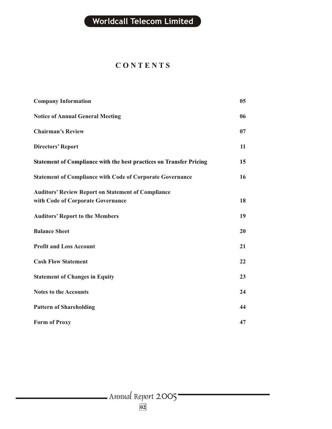### **C O N T E N T S**

| <b>Company Information</b>                                          | 05 |
|---------------------------------------------------------------------|----|
| <b>Notice of Annual General Meeting</b>                             | 06 |
| <b>Chairman's Review</b>                                            | 07 |
| <b>Directors' Report</b>                                            | 11 |
| Statement of Compliance with the best practices on Transfer Pricing | 15 |
| <b>Statement of Compliance with Code of Corporate Governance</b>    | 16 |
| <b>Auditors' Review Report on Statement of Compliance</b>           |    |
| with Code of Corporate Governance                                   | 18 |
| <b>Auditors' Report to the Members</b>                              | 19 |
| <b>Balance Sheet</b>                                                | 20 |
| <b>Profit and Loss Account</b>                                      | 21 |
| <b>Cash Flow Statement</b>                                          | 22 |
| <b>Statement of Changes in Equity</b>                               | 23 |
| <b>Notes to the Accounts</b>                                        | 24 |
| <b>Pattern of Shareholding</b>                                      | 44 |
| <b>Form of Proxy</b>                                                | 47 |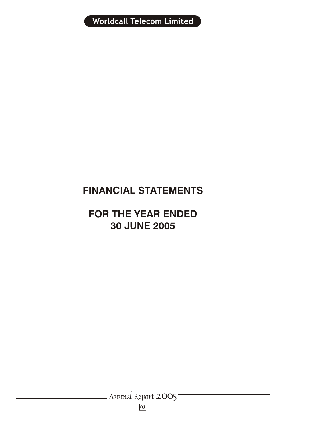## **FINANCIAL STATEMENTS**

## **FOR THE YEAR ENDED 30 JUNE 2005**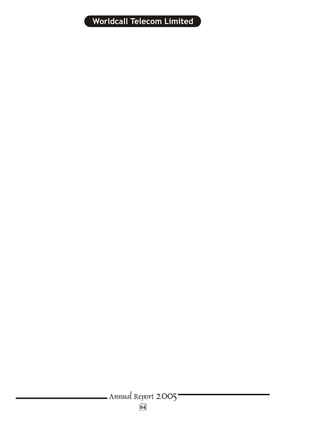$\_$ Annual Report 2005 $-$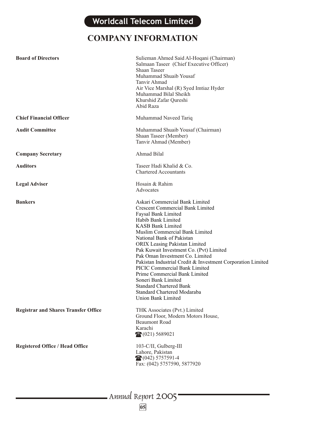## **COMPANY INFORMATION**

| <b>Board of Directors</b>                   | Sulieman Ahmed Said Al-Hoqani (Chairman)<br>Salmaan Taseer (Chief Executive Officer)<br><b>Shaan Taseer</b><br>Muhammad Shuaib Yousaf<br>Tanvir Ahmad<br>Air Vice Marshal (R) Syed Imtiaz Hyder<br>Muhammad Bilal Sheikh<br>Khurshid Zafar Qureshi<br>Abid Raza                                                                                                                                                                                                                                                                                                                        |
|---------------------------------------------|----------------------------------------------------------------------------------------------------------------------------------------------------------------------------------------------------------------------------------------------------------------------------------------------------------------------------------------------------------------------------------------------------------------------------------------------------------------------------------------------------------------------------------------------------------------------------------------|
| <b>Chief Financial Officer</b>              | Muhammad Naveed Tariq                                                                                                                                                                                                                                                                                                                                                                                                                                                                                                                                                                  |
| <b>Audit Committee</b>                      | Muhammad Shuaib Yousaf (Chairman)<br>Shaan Taseer (Member)<br>Tanvir Ahmad (Member)                                                                                                                                                                                                                                                                                                                                                                                                                                                                                                    |
| <b>Company Secretary</b>                    | Ahmad Bilal                                                                                                                                                                                                                                                                                                                                                                                                                                                                                                                                                                            |
| <b>Auditors</b>                             | Taseer Hadi Khalid & Co.<br><b>Chartered Accountants</b>                                                                                                                                                                                                                                                                                                                                                                                                                                                                                                                               |
| <b>Legal Adviser</b>                        | Hosain & Rahim<br>Advocates                                                                                                                                                                                                                                                                                                                                                                                                                                                                                                                                                            |
| <b>Bankers</b>                              | Askari Commercial Bank Limited<br><b>Crescent Commercial Bank Limited</b><br>Faysal Bank Limited<br>Habib Bank Limited<br><b>KASB Bank Limited</b><br>Muslim Commercial Bank Limited<br>National Bank of Pakistan<br><b>ORIX Leasing Pakistan Limited</b><br>Pak Kuwait Investment Co. (Pvt) Limited<br>Pak Oman Investment Co. Limited<br>Pakistan Industrial Credit & Investment Corporation Limited<br>PICIC Commercial Bank Limited<br>Prime Commercial Bank Limited<br>Soneri Bank Limited<br><b>Standard Chartered Bank</b><br>Standard Chartered Modaraba<br>Union Bank Limited |
| <b>Registrar and Shares Transfer Office</b> | THK Associates (Pvt.) Limited<br>Ground Floor, Modern Motors House,<br><b>Beaumont Road</b><br>Karachi                                                                                                                                                                                                                                                                                                                                                                                                                                                                                 |
| <b>Registered Office / Head Office</b>      | 103-C/II, Gulberg-III<br>Lahore, Pakistan<br>$\mathbf{R}(042)$ 5757591-4<br>Fax: (042) 5757590, 5877920                                                                                                                                                                                                                                                                                                                                                                                                                                                                                |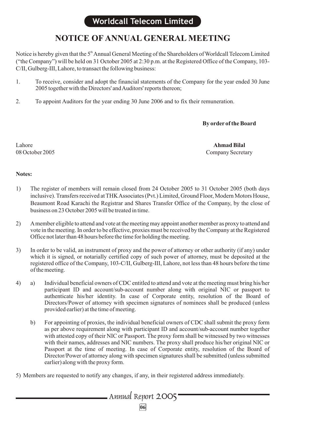### **NOTICE OF ANNUAL GENERAL MEETING**

Notice is hereby given that the 5<sup>th</sup> Annual General Meeting of the Shareholders of Worldcall Telecom Limited ("the Company") will be held on 31 October 2005 at 2:30 p.m. at the Registered Office of the Company, 103- C/II, Gulberg-III, Lahore, to transact the following business:

- 1. To receive, consider and adopt the financial statements of the Company for the year ended 30 June 2005 together with the Directors' and Auditors' reports thereon;
- 2. To appoint Auditors for the year ending 30 June 2006 and to fix their remuneration.

**By order of the Board**

Lahore **Ahmad Bilal**

08 October 2005 Company Secretary

#### **Notes:**

- 1) The register of members will remain closed from 24 October 2005 to 31 October 2005 (both days inclusive). Transfers received at THK Associates (Pvt.) Limited, Ground Floor, Modern Motors House, Beaumont Road Karachi the Registrar and Shares Transfer Office of the Company, by the close of business on 23 October 2005 will be treated in time.
- 2) A member eligible to attend and vote at the meeting may appoint another member as proxy to attend and vote in the meeting. In order to be effective, proxies must be received by the Company at the Registered Office not later than 48 hours before the time for holding the meeting.
- 3) In order to be valid, an instrument of proxy and the power of attorney or other authority (if any) under which it is signed, or notarially certified copy of such power of attorney, must be deposited at the registered office of the Company, 103-C/II, Gulberg-III, Lahore, not less than 48 hours before the time of the meeting.
- 4) a) Individual beneficial owners of CDC entitled to attend and vote at the meeting must bring his/her participant ID and account/sub-account number along with original NIC or passport to authenticate his/her identity. In case of Corporate entity, resolution of the Board of Directors/Power of attorney with specimen signatures of nominees shall be produced (unless provided earlier) at the time of meeting.
	- b) For appointing of proxies, the individual beneficial owners of CDC shall submit the proxy form as per above requirement along with participant ID and account/sub-account number together with attested copy of their NIC or Passport. The proxy form shall be witnessed by two witnesses with their names, addresses and NIC numbers. The proxy shall produce his/her original NIC or Passport at the time of meeting. In case of Corporate entity, resolution of the Board of Director/Power of attorney along with specimen signatures shall be submitted (unless submitted earlier) along with the proxy form.
- 5) Members are requested to notify any changes, if any, in their registered address immediately.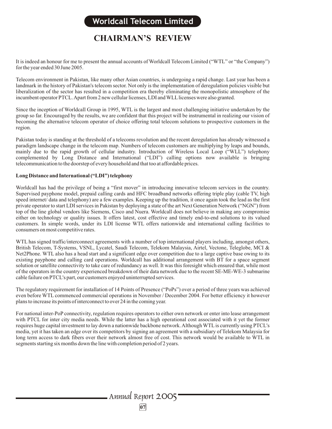### **CHAIRMAN'S REVIEW**

It is indeed an honour for me to present the annual accounts of Worldcall Telecom Limited ("WTL" or "the Company") for the year ended 30 June 2005.

Telecom environment in Pakistan, like many other Asian countries, is undergoing a rapid change. Last year has been a landmark in the history of Pakistan's telecom sector. Not only is the implementation of deregulation policies visible but liberalization of the sector has resulted in a competition era thereby eliminating the monopolistic atmosphere of the incumbent operator PTCL. Apart from 2 new cellular licenses, LDI and WLL licenses were also granted.

Since the inception of Worldcall Group in 1995, WTL is the largest and most challenging initiative undertaken by the group so far. Encouraged by the results, we are confident that this project will be instrumental in realizing our vision of becoming the alternative telecom operator of choice offering total telecom solutions to prospective customers in the region.

Pakistan today is standing at the threshold of a telecoms revolution and the recent deregulation has already witnessed a paradigm landscape change in the telecom map. Numbers of telecom customers are multiplying by leaps and bounds, mainly due to the rapid growth of cellular industry. Introduction of Wireless Local Loop ("WLL") telephony complemented by Long Distance and International ("LDI") calling options now available is bringing telecommunication to the doorstep of every household and that too at affordable prices.

#### **Long Distance and International ("LDI") telephony**

Worldcall has had the privilege of being a "first mover" in introducing innovative telecom services in the country. Supervised payphone model, prepaid calling cards and HFC broadband networks offering triple play (cable TV, high speed internet/ data and telephony) are a few examples. Keeping up the tradition, it once again took the lead as the first private operator to start LDI services in Pakistan by deploying a state of the art Next Generation Network ("NGN") from top of the line global vendors like Siemens, Cisco and Nuera. Worldcall does not believe in making any compromise either on technology or quality issues. It offers latest, cost effective and timely end-to-end solutions to its valued customers. In simple words, under its LDI license WTL offers nationwide and international calling facilities to consumers on most competitive rates.

WTL has signed traffic/interconnect agreements with a number of top international players including, amongst others, British Telecom, T-Systems, VSNL, Lycatel, Saudi Telecom, Telekom Malaysia, Airtel, Vectone, Teleglobe, MCI & Net2Phone. WTL also has a head start and a significant edge over competition due to a large captive base owing to its existing payphone and calling card operations. Worldcall has additional arrangement with BT for a space segment solution or satellite connectivity to take care of redundancy as well. It was this foresight which ensured that, while most of the operators in the country experienced breakdown of their data network due to the recent SE-ME-WE-3 submarine cable failure on PTCL's part, our customers enjoyed uninterrupted services.

The regulatory requirement for installation of 14 Points of Presence ("PoPs") over a period of three years was achieved even before WTL commenced commercial operations in November / December 2004. For better efficiency it however plans to increase its points of interconnect to over 24 in the coming year.

For national inter-PoP connectivity, regulation requires operators to either own network or enter into lease arrangement with PTCL for inter city media needs. While the latter has a high operational cost associated with it yet the former requires huge capital investment to lay down a nationwide backbone network. Although WTL is currently using PTCL's media, yet it has taken an edge over its competitors by signing an agreement with a subsidiary of Telekom Malaysia for long term access to dark fibers over their network almost free of cost. This network would be available to WTL in segments starting six months down the line with completion period of 2 years.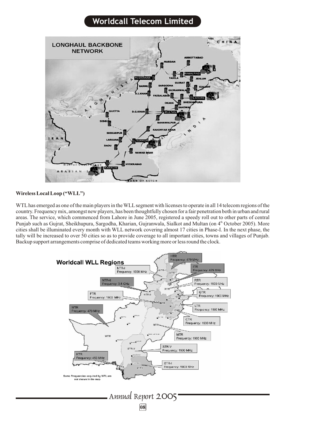

#### **Wireless Local Loop ("WLL")**

WTL has emerged as one of the main players in the WLL segment with licenses to operate in all 14 telecom regions of the country. Frequency mix, amongst new players, has been thoughtfully chosen for a fair penetration both in urban and rural areas. The service, which commenced from Lahore in June 2005, registered a speedy roll out to other parts of central Punjab such as Gujrat, Sheikhupura, Sargodha, Kharian, Gujranwala, Sialkot and Multan (on 4<sup>th</sup> October 2005). More cities shall be illuminated every month with WLL network covering almost 17 cities in Phase-I. In the next phase, the tally will be increased to over 50 cities so as to provide coverage to all important cities, towns and villages of Punjab. Backup support arrangements comprise of dedicated teams working more or less round the clock.

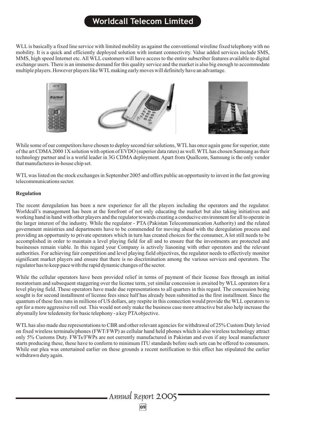WLL is basically a fixed line service with limited mobility as against the conventional wireline fixed telephony with no mobility. It is a quick and efficiently deployed solution with instant connectivity. Value added services include SMS, MMS, high speed Internet etc. All WLL customers will have access to the entire subscriber features available to digital exchange users. There is an immense demand for this quality service and the market is also big enough to accommodate multiple players. However players like WTL making early moves will definitely have an advantage.



While some of our competitors have chosen to deploy second tier solutions, WTL has once again gone for superior, state of the art CDMA 2000 1X solution with option of EVDO (superior data rates) as well. WTL has chosen Samsung as their technology partner and is a world leader in 3G CDMA deployment. Apart from Quallcom, Samsung is the only vendor that manufactures in-house chip set.

WTL was listed on the stock exchanges in September 2005 and offers public an opportunity to invest in the fast growing telecommunications sector.

#### **Regulation**

The recent deregulation has been a new experience for all the players including the operators and the regulator. Worldcall's management has been at the forefront of not only educating the market but also taking initiatives and working hand in hand with other players and the regulator towards creating a conducive environment for all to operate in the larger interest of the industry. While the regulator - PTA (Pakistan Telecommunication Authority) and the related government ministries and departments have to be commended for moving ahead with the deregulation process and providing an opportunity to private operators which in turn has created choices for the consumer, A lot still needs to be accomplished in order to maintain a level playing field for all and to ensure that the investments are protected and businesses remain viable. In this regard your Company is actively liasoning with other operators and the relevant authorities. For achieving fair competition and level playing field objectives, the regulator needs to effectively monitor significant market players and ensure that there is no discrimination among the various services and operators. The regulator has to keep pace with the rapid dynamic changes of the sector.

While the cellular operators have been provided relief in terms of payment of their license fees through an initial moratorium and subsequent staggering over the license term, yet similar concession is awaited by WLL operators for a level playing field. These operators have made due representations to all quarters in this regard. The concession being sought is for second installment of license fees since half has already been submitted as the first installment. Since the quantum of these fees runs in millions of US dollars, any respite in this connection would provide the WLL operators to opt for a more aggressive roll out. This would not only make the business case more attractive but also help increase the abysmally low teledensity for basic telephony - a key PTA objective.

WTL has also made due representations to CBR and other relevant agencies for withdrawal of 25% Custom Duty levied on fixed wireless terminals/phones (FWT/FWP) as cellular hand held phones which is also wireless technology attract only 5% Customs Duty. FWTs/FWPs are not currently manufactured in Pakistan and even if any local manufacturer starts producing these, these have to conform to minimum ITU standards before such sets can be offered to consumers. While our plea was entertained earlier on these grounds a recent notification to this effect has stipulated the earlier withdrawn duty again.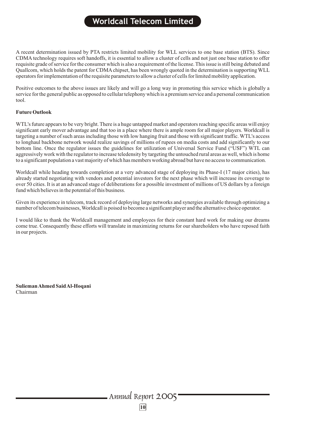A recent determination issued by PTA restricts limited mobility for WLL services to one base station (BTS). Since CDMA technology requires soft handoffs, it is essential to allow a cluster of cells and not just one base station to offer requisite grade of service for the consumer which is also a requirement of the license. This issue is still being debated and Quallcom, which holds the patent for CDMA chipset, has been wrongly quoted in the determination is supporting WLL operators for implementation of the requisite parameters to allow a cluster of cells for limited mobility application.

Positive outcomes to the above issues are likely and will go a long way in promoting this service which is globally a service for the general public as opposed to cellular telephony which is a premium service and a personal communication tool.

#### **Future Outlook**

WTL's future appears to be very bright. There is a huge untapped market and operators reaching specific areas will enjoy significant early mover advantage and that too in a place where there is ample room for all major players. Worldcall is targeting a number of such areas including those with low hanging fruit and those with significant traffic. WTL's access to longhaul backbone network would realize savings of millions of rupees on media costs and add significantly to our bottom line. Once the regulator issues the guidelines for utilization of Universal Service Fund ("USF") WTL can aggressively work with the regulator to increase teledensity by targeting the untouched rural areas as well, which is home to a significant population a vast majority of which has members working abroad but have no access to communication.

Worldcall while heading towards completion at a very advanced stage of deploying its Phase-I (17 major cities), has already started negotiating with vendors and potential investors for the next phase which will increase its coverage to over 50 cities. It is at an advanced stage of deliberations for a possible investment of millions of US dollars by a foreign fund which believes in the potential of this business.

Given its experience in telecom, track record of deploying large networks and synergies available through optimizing a number of telecom businesses, Worldcall is poised to become a significant player and the alternative choice operator.

I would like to thank the Worldcall management and employees for their constant hard work for making our dreams come true. Consequently these efforts will translate in maximizing returns for our shareholders who have reposed faith in our projects.

**Sulieman Ahmed Said Al-Hoqani** Chairman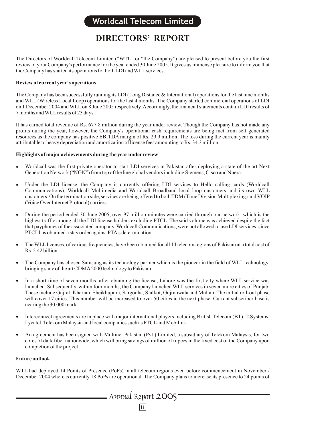### **DIRECTORS' REPORT**

The Directors of Worldcall Telecom Limited ("WTL" or "the Company") are pleased to present before you the first review of your Company's performance for the year ended 30 June 2005. It gives us immense pleasure to inform you that the Company has started its operations for both LDI and WLL services.

#### **Review of current year's operations**

The Company has been successfully running its LDI (Long Distance & International) operations for the last nine months and WLL (Wireless Local Loop) operations for the last 4 months. The Company started commercial operations of LDI on 1 December 2004 and WLL on 8 June 2005 respectively. Accordingly, the financial statements contain LDI results of 7 months and WLL results of 23 days.

It has earned total revenue of Rs. 677.8 million during the year under review. Though the Company has not made any profits during the year, however, the Company's operational cash requirements are being met from self generated resources as the company has positive EBITDA margin of Rs. 29.9 million. The loss during the current year is mainly attributable to heavy depreciation and amortization of license fees amounting to Rs. 34.3 million.

#### **Highlights of major achievements during the year under review**

- Worldcall was the first private operator to start LDI services in Pakistan after deploying a state of the art Next Generation Network ("NGN") from top of the line global vendors including Siemens, Cisco and Nuera.  $\circ$
- Under the LDI license, the Company is currently offering LDI services to Hello calling cards (Worldcall Communications), Worldcall Multimedia and Worldcall Broadband local loop customers and its own WLL customers. On the termination side, services are being offered to both TDM (Time Division Multiplexing) and VOIP (Voice Over Internet Protocol) carriers.  $\circ$
- During the period ended 30 June 2005, over 97 million minutes were carried through our network, which is the highest traffic among all the LDI license holders excluding PTCL. The said volume was achieved despite the fact that payphones of the associated company, Worldcall Communications, were not allowed to use LDI services, since PTCL has obtained a stay order against PTA's determination.  $\circ$
- The WLL licenses, of various frequencies, have been obtained for all 14 telecom regions of Pakistan at a total cost of Rs. 2.42 billion.  $\circ$
- The Company has chosen Samsung as its technology partner which is the pioneer in the field of WLL technology, bringing state of the art CDMA 2000 technology to Pakistan.  $\circ$
- In a short time of seven months, after obtaining the license, Lahore was the first city where WLL service was launched. Subsequently, within four months, the Company launched WLL services in seven more cities of Punjab. These include Gujrat, Kharian, Sheikhupura, Sargodha, Sialkot, Gujranwala and Multan. The initial roll-out phase will cover 17 cities. This number will be increased to over 50 cities in the next phase. Current subscriber base is nearing the 30,000 mark.  $\circ$
- Interconnect agreements are in place with major international players including British Telecom (BT), T-Systems, Lycatel, Telekom Malaysia and local companies such as PTCL and Mobilink.  $\circ$
- An agreement has been signed with Multinet Pakistan (Pvt.) Limited, a subsidiary of Telekom Malaysis, for two cores of dark fiber nationwide, which will bring savings of million of rupees in the fixed cost of the Company upon completion of the project.  $\circ$

#### **Future outlook**

WTL had deployed 14 Points of Presence (PoPs) in all telecom regions even before commencement in November / December 2004 whereas currently 18 PoPs are operational. The Company plans to increase its presence to 24 points of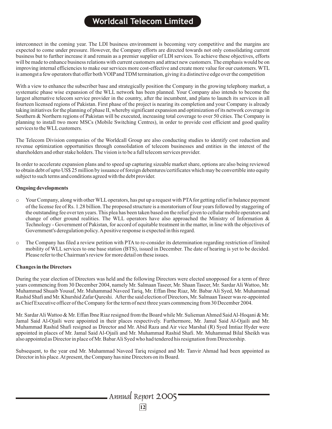interconnect in the coming year. The LDI business environment is becoming very competitive and the margins are expected to come under pressure. However, the Company efforts are directed towards not only consolidating current business but to further increase it and remain as a premier supplier of LDI services. To achieve these objectives, efforts will be made to enhance business relations with current customers and attract new customers. The emphasis would be on improving internal efficiencies to make our services more cost-effective and create more value for our customers. WTL is amongst a few operators that offer both VOIP and TDM termination, giving it a distinctive edge over the competition

With a view to enhance the subscriber base and strategically position the Company in the growing telephony market, a systematic phase wise expansion of the WLL network has been planned. Your Company also intends to become the largest alternative telecom service provider in the country, after the incumbent, and plans to launch its services in all fourteen licensed regions of Pakistan. First phase of the project is nearing its completion and your Company is already taking initiatives for the planning of phase II, whereby significant expansion and optimization of its network coverage in Southern & Northern regions of Pakistan will be executed, increasing total coverage to over 50 cities. The Company is planning to install two more MSCs (Mobile Switching Centres), in order to provide cost efficient and good quality services to the WLL customers.

The Telecom Division companies of the Worldcall Group are also conducting studies to identify cost reduction and revenue optimization opportunities through consolidation of telecom businesses and entities in the interest of the shareholders and other stake holders. The vision is to be a full telecom services provider.

In order to accelerate expansion plans and to speed up capturing sizeable market share, options are also being reviewed to obtain debt of upto US\$ 25 million by issuance of foreign debentures/certificates which may be convertible into equity subject to such terms and conditions agreed with the debt provider.

#### **Ongoing developments**

- o Your Company, along with other WLL operators, has put up a request with PTA for getting relief in balance payment of the license fee of Rs. 1.28 billion. The proposed structure is a moratorium of four years followed by staggering of the outstanding fee over ten years. This plea has been taken based on the relief given to cellular mobile operators and change of other ground realities. The WLL operators have also approached the Ministry of Information  $\&$ Technology - Government of Pakistan, for accord of equitable treatment in the matter, in line with the objectives of Government's deregulation policy. A positive response is expected in this regard.
- o The Company has filed a review petition with PTA to re-consider its determination regarding restriction of limited mobility of WLL services to one base station (BTS), issued in December. The date of hearing is yet to be decided. Please refer to the Chairman's review for more detail on these issues.

#### **Changes in the Directors**

During the year election of Directors was held and the following Directors were elected unopposed for a term of three years commencing from 30 December 2004, namely Mr. Salmaan Taseer, Mr. Shaan Taseer, Mr. Sardar Ali Wattoo, Mr. Muhammad Shuaib Yousaf, Mr. Muhammad Naveed Tariq, Mr. Effan Ibne Riaz, Mr. Babar Ali Syed, Mr. Muhammad Rashid Shafi and Mr. Khurshid Zafar Qureshi. After the said election of Directors, Mr. Salmaan Taseer was re-appointed as Chief Executive officer of the Company for the term of next three years commencing from 30 December 2004.

Mr. Sardar Ali Wattoo & Mr. Effan Ibne Riaz resigned from the Board while Mr. Sulieman Ahmed Said Al-Hoqani & Mr. Jamal Said Al-Ojaili were appointed in their places respectively. Furthermore, Mr. Jamal Said Al-Ojaili and Mr. Muhammad Rashid Shafi resigned as Director and Mr. Abid Raza and Air vice Marshal (R) Syed Imtiaz Hyder were appointed in places of Mr. Jamal Said Al-Ojaili and Mr. Muhammad Rashid Shafi. Mr. Muhammad Bilal Sheikh was also appointed as Director in place of Mr. Babar Ali Syed who had tendered his resignation from Directorship.

Subsequent, to the year end Mr. Muhammad Naveed Tariq resigned and Mr. Tanvir Ahmad had been appointed as Director in his place. At present, the Company has nine Directors on its Board.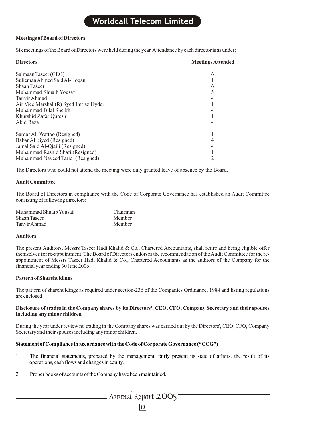#### **Meetings of Board of Directors**

Six meetings of the Board of Directors were held during the year. Attendance by each director is as under:

| <b>Directors</b>                       | <b>Meetings Attended</b> |
|----------------------------------------|--------------------------|
| Salmaan Taseer (CEO)                   | 6                        |
| Sulieman Ahmed Said Al-Hogani          |                          |
| Shaan Taseer                           | 6                        |
| Muhammad Shuaib Yousaf                 |                          |
| Tanvir Ahmad                           |                          |
| Air Vice Marshal (R) Syed Imtiaz Hyder |                          |
| Muhammad Bilal Sheikh                  |                          |
| Khurshid Zafar Qureshi                 |                          |
| Abid Raza                              |                          |
| Sardar Ali Wattoo (Resigned)           |                          |
| Babar Ali Syed (Resigned)              | 4                        |
| Jamal Said Al-Ojaili (Resigned)        |                          |
| Muhammad Rashid Shafi (Resigned)       |                          |
| Muhammad Naveed Tariq (Resigned)       |                          |

The Directors who could not attend the meeting were duly granted leave of absence by the Board.

#### **Audit Committee**

The Board of Directors in compliance with the Code of Corporate Governance has established an Audit Committee consisting of following directors:

| Muhammad Shuaib Yousaf | Chairman |
|------------------------|----------|
| Shaan Taseer           | Member   |
| Tanvir Ahmad           | Member   |

#### **Auditors**

The present Auditors, Messrs Taseer Hadi Khalid & Co., Chartered Accountants, shall retire and being eligible offer themselves for re-appointment. The Board of Directors endorses the recommendation of the Audit Committee for the reappointment of Messrs Taseer Hadi Khalid & Co., Chartered Accountants as the auditors of the Company for the financial year ending 30 June 2006.

#### **Pattern of Shareholdings**

The pattern of shareholdings as required under section-236 of the Companies Ordinance, 1984 and listing regulations are enclosed.

#### **Disclosure of trades in the Company shares by its Directors', CEO, CFO, Company Secretary and their spouses including any minor children**

During the year under review no trading in the Company shares was carried out by the Directors', CEO, CFO, Company Secretary and their spouses including any minor children.

#### **Statement of Compliance in accordance with the Code of Corporate Governance ("CCG")**

- 1. The financial statements, prepared by the management, fairly present its state of affairs, the result of its operations, cash flows and changes in equity.
- 2. Proper books of accounts of the Company have been maintained.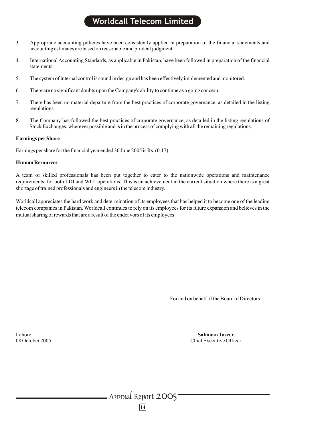- 3. Appropriate accounting policies have been consistently applied in preparation of the financial statements and accounting estimates are based on reasonable and prudent judgment.
- 4. International Accounting Standards, as applicable in Pakistan, have been followed in preparation of the financial statements.
- 5. The system of internal control is sound in design and has been effectively implemented and monitored.
- 6. There are no significant doubts upon the Company's ability to continue as a going concern.
- 7. There has been no material departure from the best practices of corporate governance, as detailed in the listing regulations.
- 8. The Company has followed the best practices of corporate governance, as detailed in the listing regulations of Stock Exchanges, wherever possible and is in the process of complying with all the remaining regulations.

#### **Earnings per Share**

Earnings per share for the financial year ended 30 June 2005 is Rs. (0.17).

#### **Human Resources**

A team of skilled professionals has been put together to cater to the nationwide operations and maintenance requirements, for both LDI and WLL operations. This is an achievement in the current situation where there is a great shortage of trained professionals and engineers in the telecom industry.

Worldcall appreciates the hard work and determination of its employees that has helped it to become one of the leading telecom companies in Pakistan. Worldcall continues to rely on its employees for its future expansion and believes in the mutual sharing of rewards that are a result of the endeavors of its employees.

For and on behalf of the Board of Directors

Lahore: **Salmaan Taseer**<br>
08 October 2005<br>
Chief Executive Offi Chief Executive Officer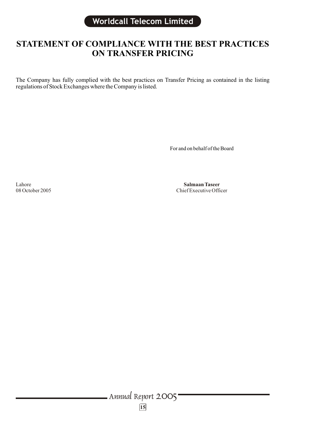### **STATEMENT OF COMPLIANCE WITH THE BEST PRACTICES ON TRANSFER PRICING**

The Company has fully complied with the best practices on Transfer Pricing as contained in the listing regulations of Stock Exchanges where the Company is listed.

For and on behalf of the Board

Lahore **Salmaan Taseer**<br>
08 October 2005<br>
Chief Executive Office Chief Executive Officer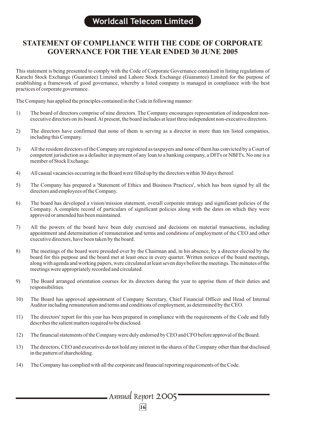### **STATEMENT OF COMPLIANCE WITH THE CODE OF CORPORATE GOVERNANCE FOR THE YEAR ENDED 30 JUNE 2005**

This statement is being presented to comply with the Code of Corporate Governance contained in listing regulations of Karachi Stock Exchange (Guarantee) Limited and Lahore Stock Exchange (Guarantee) Limited for the purpose of establishing a framework of good governance, whereby a listed company is managed in compliance with the best practices of corporate governance.

The Company has applied the principles contained in the Code in following manner:

- 1) The board of directors comprise of nine directors. The Company encourages representation of independent nonexecutive directors on its board. At present, the board includes at least three independent non-executive directors.
- 2) The directors have confirmed that none of them is serving as a director in more than ten listed companies, including this Company.
- 3) All the resident directors of the Company are registered as taxpayers and none of them has convicted by a Court of competent jurisdiction as a defaulter in payment of any loan to a banking company, a DFI's or NBFI's. No one is a member of Stock Exchange.
- 4) All casual vacancies occurring in the Board were filled up by the directors within 30 days thereof.
- 5) The Company has prepared a 'Statement of Ethics and Business Practices', which has been signed by all the directors and employees of the Company.
- 6) The board has developed a vision/mission statement, overall corporate strategy and significant policies of the Company. A complete record of particulars of significant policies along with the dates on which they were approved or amended has been maintained.
- 7) All the powers of the board have been duly exercised and decisions on material transactions, including appointment and determination of remuneration and terms and conditions of employment of the CEO and other executive directors, have been taken by the board.
- 8) The meetings of the board were presided over by the Chairman and, in his absence, by a director elected by the board for this purpose and the board met at least once in every quarter. Written notices of the board meetings, along with agenda and working papers, were circulated at least seven days before the meetings. The minutes of the meetings were appropriately recorded and circulated.
- 9) The Board arranged orientation courses for its directors during the year to apprise them of their duties and responsibilities.
- 10) The Board has approved appointment of Company Secretary, Chief Financial Officer and Head of Internal Auditor including remuneration and terms and conditions of employment, as determined by the CEO.
- 11) The directors' report for this year has been prepared in compliance with the requirements of the Code and fully describes the salient matters required to be disclosed.
- 12) The financial statements of the Company were duly endorsed by CEO and CFO before approval of the Board.
- 13) The directors, CEO and executives do not hold any interest in the shares of the Company other than that disclosed in the pattern of shareholding.
- 14) The Company has complied with all the corporate and financial reporting requirements of the Code.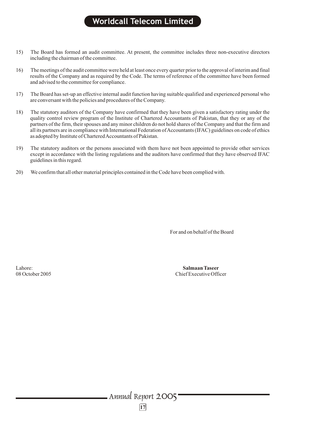- 15) The Board has formed an audit committee. At present, the committee includes three non-executive directors including the chairman of the committee.
- 16) The meetings of the audit committee were held at least once every quarter prior to the approval of interim and final results of the Company and as required by the Code. The terms of reference of the committee have been formed and advised to the committee for compliance.
- 17) The Board has set-up an effective internal audit function having suitable qualified and experienced personal who are conversant with the policies and procedures of the Company.
- 18) The statutory auditors of the Company have confirmed that they have been given a satisfactory rating under the quality control review program of the Institute of Chartered Accountants of Pakistan, that they or any of the partners of the firm, their spouses and any minor children do not hold shares of the Company and that the firm and all its partners are in compliance with International Federation of Accountants (IFAC) guidelines on code of ethics as adopted by Institute of Chartered Accountants of Pakistan.
- 19) The statutory auditors or the persons associated with them have not been appointed to provide other services except in accordance with the listing regulations and the auditors have confirmed that they have observed IFAC guidelines in this regard.
- 20) We confirm that all other material principles contained in the Code have been complied with.

For and on behalf of the Board

Lahore: **Salmaan Taseer**<br>
08 October 2005<br>
Chief Executive Offi Chief Executive Officer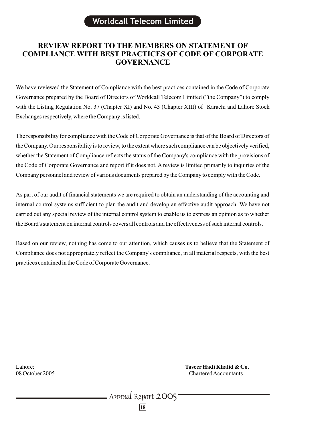### **REVIEW REPORT TO THE MEMBERS ON STATEMENT OF COMPLIANCE WITH BEST PRACTICES OF CODE OF CORPORATE GOVERNANCE**

We have reviewed the Statement of Compliance with the best practices contained in the Code of Corporate Governance prepared by the Board of Directors of Worldcall Telecom Limited ("the Company") to comply with the Listing Regulation No. 37 (Chapter XI) and No. 43 (Chapter XIII) of Karachi and Lahore Stock Exchanges respectively, where the Company is listed.

The responsibility for compliance with the Code of Corporate Governance is that of the Board of Directors of the Company. Our responsibility is to review, to the extent where such compliance can be objectively verified, whether the Statement of Compliance reflects the status of the Company's compliance with the provisions of the Code of Corporate Governance and report if it does not. A review is limited primarily to inquiries of the Company personnel and review of various documents prepared by the Company to comply with the Code.

As part of our audit of financial statements we are required to obtain an understanding of the accounting and internal control systems sufficient to plan the audit and develop an effective audit approach. We have not carried out any special review of the internal control system to enable us to express an opinion as to whether the Board's statement on internal controls covers all controls and the effectiveness of such internal controls.

Based on our review, nothing has come to our attention, which causes us to believe that the Statement of Compliance does not appropriately reflect the Company's compliance, in all material respects, with the best practices contained in the Code of Corporate Governance.

Lahore: **Taseer Hadi Khalid & Co.** 08 October 2005 Chartered Accountants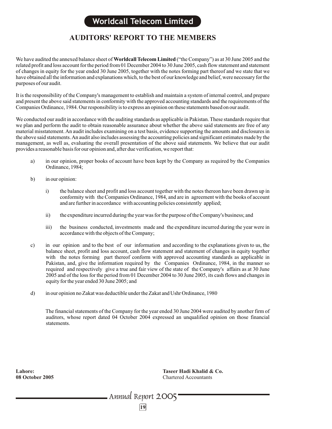### **AUDITORS' REPORT TO THE MEMBERS**

We have audited the annexed balance sheet of **Worldcall Telecom Limited** ("the Company") as at 30 June 2005 and the related profit and loss account for the period from 01 December 2004 to 30 June 2005, cash flow statement and statement of changes in equity for the year ended 30 June 2005, together with the notes forming part thereof and we state that we have obtained all the information and explanations which, to the best of our knowledge and belief, were necessary for the purposes of our audit.

It is the responsibility of the Company's management to establish and maintain a system of internal control, and prepare and present the above said statements in conformity with the approved accounting standards and the requirements of the Companies Ordinance, 1984. Our responsibility is to express an opinion on these statements based on our audit.

We conducted our audit in accordance with the auditing standards as applicable in Pakistan. These standards require that we plan and perform the audit to obtain reasonable assurance about whether the above said statements are free of any material misstatement. An audit includes examining on a test basis, evidence supporting the amounts and disclosures in the above said statements. An audit also includes assessing the accounting policies and significant estimates made by the management, as well as, evaluating the overall presentation of the above said statements. We believe that our audit provides a reasonable basis for our opinion and, after due verification, we report that:

- a) in our opinion, proper books of account have been kept by the Company as required by the Companies Ordinance, 1984;
- b) in our opinion:
	- i) the balance sheet and profit and loss account together with the notes thereon have been drawn up in conformity with the Companies Ordinance, 1984, and are in agreement with the books of account and are further in accordance with accounting policies consistently applied;
	- ii) the expenditure incurred during the year was for the purpose of the Company's business; and
	- iii) the business conducted, investments made and the expenditure incurred during the year were in accordance with the objects of the Company;
- c) in our opinion and to the best of our information and according to the explanations given to us, the balance sheet, profit and loss account, cash flow statement and statement of changes in equity together with the notes forming part thereof conform with approved accounting standards as applicable in Pakistan, and, give the information required by the Companies Ordinance, 1984, in the manner so required and respectively give a true and fair view of the state of the Company's affairs as at 30 June 2005 and of the loss for the period from 01 December 2004 to 30 June 2005, its cash flows and changes in equity for the year ended 30 June 2005; and
- d) in our opinion no Zakat was deductible under the Zakat and Ushr Ordinance, 1980

The financial statements of the Company for the year ended 30 June 2004 were audited by another firm of auditors, whose report dated 04 October 2004 expressed an unqualified opinion on those financial statements.

**Lahore: Taseer Hadi Khalid & Co. 08 October 2005** Chartered Accountants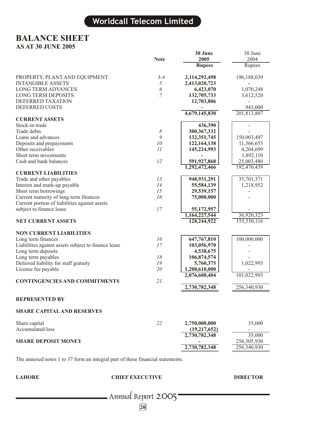### **BALANCE SHEET AS AT 30 JUNE 2005**

|                                                     |                | 30 June        | 30 June                    |
|-----------------------------------------------------|----------------|----------------|----------------------------|
|                                                     | <b>Note</b>    | 2005           | 2004                       |
|                                                     |                | <b>Rupees</b>  | Rupees                     |
| PROPERTY, PLANT AND EQUIPMENT                       | 3-4            | 2,114,292,498  | 196,188,039                |
| <b>INTANGIBLE ASSETS</b>                            | 5              | 2,413,020,723  |                            |
| <b>LONG TERM ADVANCES</b>                           | 6              | 6,423,070      | 1,070,248                  |
| <b>LONG TERM DEPOSITS</b>                           | $\overline{7}$ | 132,705,733    | 3,612,520                  |
| DEFERRED TAXATION                                   |                | 12,703,806     |                            |
| <b>DEFERRED COSTS</b>                               |                |                | 943,000                    |
|                                                     |                | 4,679,145,830  | 201,813,807                |
| <b>CURRENT ASSETS</b>                               |                |                |                            |
| Stock-in-trade                                      |                | 436,390        |                            |
| Trade debts                                         | $\delta$       | 300, 367, 332  |                            |
| Loans and advances                                  | 9              | 132, 351, 745  | 150,003,497                |
| Deposits and prepayments                            | 10             | 122, 164, 138  | 11,366,653                 |
| Other receivables                                   | 11             | 145,224,993    | 4,204,699                  |
| Short term investments                              |                |                | 1,892,110                  |
| Cash and bank balances                              | 12             | 591,927,868    | 25,003,480                 |
|                                                     |                | 1,292,472,466  | 192,470,439                |
| <b>CURRENT LIABILITIES</b>                          |                |                |                            |
| Trade and other payables                            | 13             | 948, 931, 291  | 35,701,371                 |
| Interest and mark-up payable                        | 14             | 55,584,139     | 1,218,952                  |
| Short term borrowings                               | 15             | 29,539,157     |                            |
| Current maturity of long term finances              | 16             | 75,000,000     |                            |
| Current portion of liabilities against assets       |                |                |                            |
| subject to finance lease                            | 17             | 55, 172, 957   |                            |
|                                                     |                | 1,164,227,544  | 36,920,323                 |
| <b>NET CURRENT ASSETS</b>                           |                | 128,244,922    | 155,550,116                |
| <b>NON CURRENT LIABILITIES</b>                      |                |                |                            |
| Long term finances                                  | 16             | 647,767,810    | 100,000,000                |
| Liabilities against assets subject to finance lease | 17             | 103,056,970    |                            |
| Long term deposits                                  |                | 4,538,675      |                            |
| Long term payables                                  | 18             | 106,874,574    |                            |
| Deferred liability for staff gratuity               | 19             | 5,760,375      | 1,022,993                  |
| License fee payable                                 | 20             | 1,208,610,000  |                            |
|                                                     |                | 2,076,608,404  | 101,022,993                |
| <b>CONTINGENCIES AND COMMITMENTS</b>                | 21             |                |                            |
|                                                     |                | 2,730,782,348  | 256,340,930                |
| <b>REPRESENTED BY</b>                               |                |                |                            |
| <b>SHARE CAPITAL AND RESERVES</b>                   |                |                |                            |
| Share capital                                       | 22             | 2,750,000,000  | 35,000                     |
| Accumulated loss                                    |                | (19, 217, 652) | $\overline{\phantom{0}}$   |
|                                                     |                | 2,730,782,348  | 35,000                     |
| <b>SHARE DEPOSIT MONEY</b>                          |                |                |                            |
|                                                     |                | 2,730,782,348  | 256,305,930<br>256,340,930 |
|                                                     |                |                |                            |
|                                                     |                |                |                            |

The annexed notes 1 to 37 form an integral part of these financial statements.

### **LAHORE CHIEF EXECUTIVE DIRECTOR**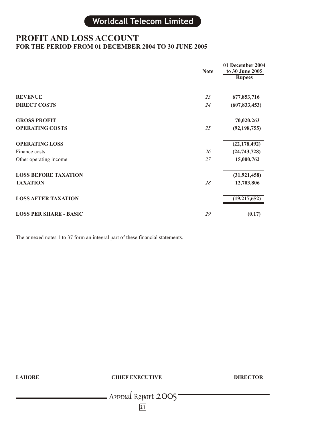### **PROFIT AND LOSS ACCOUNT FOR THE PERIOD FROM 01 DECEMBER 2004 TO 30 JUNE 2005**

|                               | <b>Note</b> | 01 December 2004<br>to 30 June 2005<br><b>Rupees</b> |
|-------------------------------|-------------|------------------------------------------------------|
| <b>REVENUE</b>                | 23          | 677,853,716                                          |
| <b>DIRECT COSTS</b>           | 24          | (607, 833, 453)                                      |
| <b>GROSS PROFIT</b>           |             | 70,020,263                                           |
| <b>OPERATING COSTS</b>        | 25          | (92, 198, 755)                                       |
| <b>OPERATING LOSS</b>         |             | (22, 178, 492)                                       |
| Finance costs                 | 26          | (24, 743, 728)                                       |
| Other operating income        | 27          | 15,000,762                                           |
| <b>LOSS BEFORE TAXATION</b>   |             | (31, 921, 458)                                       |
| <b>TAXATION</b>               | 28          | 12,703,806                                           |
| <b>LOSS AFTER TAXATION</b>    |             | (19, 217, 652)                                       |
| <b>LOSS PER SHARE - BASIC</b> | 29          | (0.17)                                               |

The annexed notes 1 to 37 form an integral part of these financial statements.

**LAHORE CHIEF EXECUTIVE DIRECTOR**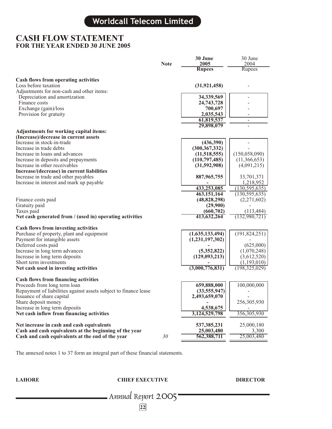### **CASH FLOW STATEMENT FOR THE YEAR ENDED 30 JUNE 2005**

|                                                                  | <b>Note</b> | 30 June<br>2005 | 30 June<br>2004              |
|------------------------------------------------------------------|-------------|-----------------|------------------------------|
|                                                                  |             | <b>Rupees</b>   | Rupees                       |
|                                                                  |             |                 |                              |
| Cash flows from operating activities<br>Loss before taxation     |             |                 |                              |
| Adjustments for non-cash and other items:                        |             | (31, 921, 458)  |                              |
| Depreciation and amortization                                    |             | 34,339,569      |                              |
| Finance costs                                                    |             | 24,743,728      |                              |
| Exchange (gain)/loss                                             |             | 700,697         |                              |
| Provision for gratuity                                           |             | 2,035,543       |                              |
|                                                                  |             | 61,819,537      | $\overline{\phantom{0}}$     |
|                                                                  |             | 29,898,079      |                              |
| <b>Adjustments for working capital items:</b>                    |             |                 |                              |
| (Increase)/decrease in current assets                            |             |                 |                              |
| Increase in stock-in-trade                                       |             | (436,390)       |                              |
| Increase in trade debts                                          |             | (300, 367, 332) |                              |
| Increase in loans and advances                                   |             | (11, 518, 555)  | (150, 058, 090)              |
| Increase in deposits and prepayments                             |             | (110,797,485)   | (11,366,653)                 |
| Increase in other receivables                                    |             | (31,592,908)    | (4,091,215)                  |
| Increase/(decrease) in current liabilities                       |             |                 |                              |
| Increase in trade and other payables                             |             | 887,965,755     | 33,701,371                   |
| Increase in interest and mark up payable                         |             | 433,253,085     | 1,218,952<br>(130, 595, 635) |
|                                                                  |             | 463, 151, 164   | (130, 595, 635)              |
| Finance costs paid                                               |             | (48, 828, 298)  | (2,271,602)                  |
| Gratuity paid                                                    |             | (29,900)        |                              |
| Taxes paid                                                       |             | (660, 702)      | (113, 484)                   |
| Net cash generated from / (used in) operating activities         |             | 413,632,264     | (132,980,721)                |
|                                                                  |             |                 |                              |
| Cash flows from investing activities                             |             |                 |                              |
| Purchase of property, plant and equipment                        |             | (1,635,133,494) | (191, 824, 251)              |
| Payment for intangible assets                                    |             | (1,231,197,302) |                              |
| Deferred costs paid                                              |             |                 | (625,000)                    |
| Increase in long term advances                                   |             | (5,352,822)     | (1,070,248)                  |
| Increase in long term deposits                                   |             | (129, 093, 213) | (3,612,520)                  |
| Short term investments                                           |             |                 | (1,193,010)                  |
| Net cash used in investing activities                            |             | (3,000,776,831) | (198, 325, 029)              |
| Cash flows from financing activities                             |             |                 |                              |
| Proceeds from long term loan                                     |             | 659,888,000     | 100,000,000                  |
| Repayment of liabilities against assets subject to finance lease |             | (33, 555, 947)  |                              |
| Issuance of share capital                                        |             | 2,493,659,070   |                              |
| Share deposit money                                              |             |                 | 256,305,930                  |
| Increase in long term deposits                                   |             | 4,538,675       |                              |
| Net cash inflow from financing activities                        |             | 3,124,529,798   | 356,305,930                  |
| Net increase in cash and cash equivalents                        |             | 537, 385, 231   |                              |
| Cash and cash equivalents at the beginning of the year           |             | 25,003,480      | 25,000,180<br>3,300          |
| Cash and cash equivalents at the end of the year                 | 30          | 562,388,711     | 25,003,480                   |
|                                                                  |             |                 |                              |

The annexed notes 1 to 37 form an integral part of these financial statements.

### **LAHORE CHIEF EXECUTIVE DIRECTOR**

 $\_$ Annual Report 2005 $-$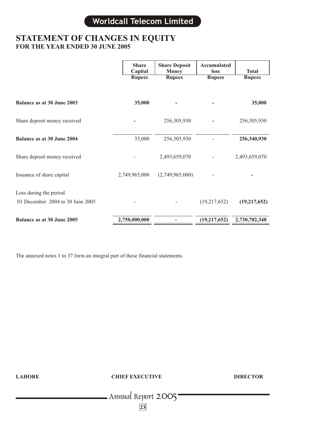### **STATEMENT OF CHANGES IN EQUITY FOR THE YEAR ENDED 30 JUNE 2005**

|                                  | <b>Share</b><br>Capital<br><b>Rupees</b> | <b>Share Deposit</b><br><b>Money</b><br><b>Rupees</b> | Accumulated<br>loss<br><b>Rupees</b> | <b>Total</b><br><b>Rupees</b> |
|----------------------------------|------------------------------------------|-------------------------------------------------------|--------------------------------------|-------------------------------|
|                                  |                                          |                                                       |                                      |                               |
| Balance as at 30 June 2003       | 35,000                                   |                                                       |                                      | 35,000                        |
| Share deposit money received     |                                          | 256,305,930                                           |                                      | 256,305,930                   |
| Balance as at 30 June 2004       | 35,000                                   | 256,305,930                                           |                                      | 256,340,930                   |
| Share deposit money received     |                                          | 2,493,659,070                                         |                                      | 2,493,659,070                 |
| Issuance of share capital        | 2,749,965,000                            | (2,749,965,000)                                       |                                      |                               |
| Loss during the period           |                                          |                                                       |                                      |                               |
| 01 December 2004 to 30 June 2005 |                                          |                                                       | (19,217,652)                         | (19,217,652)                  |
| Balance as at 30 June 2005       | 2,750,000,000                            |                                                       | (19,217,652)                         | 2,730,782,348                 |

The annexed notes 1 to 37 form an integral part of these financial statements.

**LAHORE CHIEF EXECUTIVE DIRECTOR**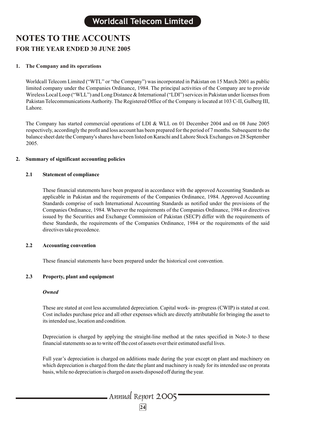### **NOTES TO THE ACCOUNTS FOR THE YEAR ENDED 30 JUNE 2005**

#### **1. The Company and its operations**

Worldcall Telecom Limited ("WTL" or "the Company") was incorporated in Pakistan on 15 March 2001 as public limited company under the Companies Ordinance, 1984. The principal activities of the Company are to provide Wireless Local Loop ("WLL") and Long Distance & International ("LDI") services in Pakistan under licenses from Pakistan Telecommunications Authority. The Registered Office of the Company is located at 103 C-II, Gulberg III, Lahore.

The Company has started commercial operations of LDI & WLL on 01 December 2004 and on 08 June 2005 respectively, accordingly the profit and loss account has been prepared for the period of 7 months. Subsequent to the balance sheet date the Company's shares have been listed on Karachi and Lahore Stock Exchanges on 28 September 2005.

#### **2. Summary of significant accounting policies**

#### **2.1 Statement of compliance**

These financial statements have been prepared in accordance with the approved Accounting Standards as applicable in Pakistan and the requirements of the Companies Ordinance, 1984. Approved Accounting Standards comprise of such International Accounting Standards as notified under the provisions of the Companies Ordinance, 1984. Wherever the requirements of the Companies Ordinance, 1984 or directives issued by the Securities and Exchange Commission of Pakistan (SECP) differ with the requirements of these Standards, the requirements of the Companies Ordinance, 1984 or the requirements of the said directives take precedence.

#### **2.2 Accounting convention**

These financial statements have been prepared under the historical cost convention.

#### **2.3 Property, plant and equipment**

#### *Owned*

These are stated at cost less accumulated depreciation. Capital work- in- progress (CWIP) is stated at cost. Cost includes purchase price and all other expenses which are directly attributable for bringing the asset to its intended use, location and condition.

Depreciation is charged by applying the straight-line method at the rates specified in Note-3 to these financial statements so as to write off the cost of assets over their estimated useful lives.

Full year's depreciation is charged on additions made during the year except on plant and machinery on which depreciation is charged from the date the plant and machinery is ready for its intended use on prorata basis, while no depreciation is charged on assets disposed off during the year.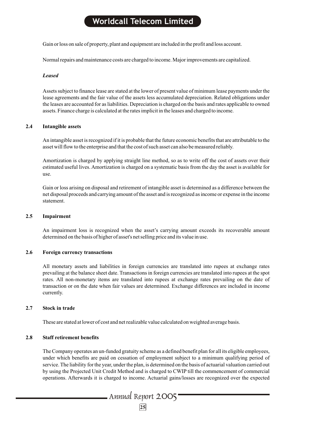Gain or loss on sale of property, plant and equipment are included in the profit and loss account.

Normal repairs and maintenance costs are charged to income. Major improvements are capitalized.

#### *Leased*

Assets subject to finance lease are stated at the lower of present value of minimum lease payments under the lease agreements and the fair value of the assets less accumulated depreciation. Related obligations under the leases are accounted for as liabilities. Depreciation is charged on the basis and rates applicable to owned assets. Finance charge is calculated at the rates implicit in the leases and charged to income.

#### **2.4 Intangible assets**

An intangible asset is recognized if it is probable that the future economic benefits that are attributable to the asset will flow to the enterprise and that the cost of such asset can also be measured reliably.

Amortization is charged by applying straight line method, so as to write off the cost of assets over their estimated useful lives. Amortization is charged on a systematic basis from the day the asset is available for use.

Gain or loss arising on disposal and retirement of intangible asset is determined as a difference between the net disposal proceeds and carrying amount of the asset and is recognized as income or expense in the income statement.

#### **2.5 Impairment**

An impairment loss is recognized when the asset's carrying amount exceeds its recoverable amount determined on the basis of higher of asset's net selling price and its value in use.

#### **2.6 Foreign currency transactions**

All monetary assets and liabilities in foreign currencies are translated into rupees at exchange rates prevailing at the balance sheet date. Transactions in foreign currencies are translated into rupees at the spot rates. All non-monetary items are translated into rupees at exchange rates prevailing on the date of transaction or on the date when fair values are determined. Exchange differences are included in income currently.

#### **2.7 Stock in trade**

These are stated at lower of cost and net realizable value calculated on weighted average basis.

#### **2.8 Staff retirement benefits**

The Company operates an un-funded gratuity scheme as a defined benefit plan for all its eligible employees, under which benefits are paid on cessation of employment subject to a minimum qualifying period of service. The liability for the year, under the plan, is determined on the basis of actuarial valuation carried out by using the Projected Unit Credit Method and is charged to CWIP till the commencement of commercial operations. Afterwards it is charged to income. Actuarial gains/losses are recognized over the expected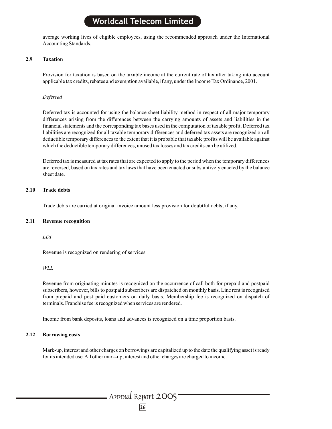average working lives of eligible employees, using the recommended approach under the International Accounting Standards.

#### **2.9 Taxation**

Provision for taxation is based on the taxable income at the current rate of tax after taking into account applicable tax credits, rebates and exemption available, if any, under the Income Tax Ordinance, 2001.

#### *Deferred*

Deferred tax is accounted for using the balance sheet liability method in respect of all major temporary differences arising from the differences between the carrying amounts of assets and liabilities in the financial statements and the corresponding tax bases used in the computation of taxable profit. Deferred tax liabilities are recognized for all taxable temporary differences and deferred tax assets are recognized on all deductible temporary differences to the extent that it is probable that taxable profits will be available against which the deductible temporary differences, unused tax losses and tax credits can be utilized.

Deferred tax is measured at tax rates that are expected to apply to the period when the temporary differences are reversed, based on tax rates and tax laws that have been enacted or substantively enacted by the balance sheet date.

#### **2.10 Trade debts**

Trade debts are carried at original invoice amount less provision for doubtful debts, if any.

#### **2.11 Revenue recognition**

*LDI*

Revenue is recognized on rendering of services

*WLL*

Revenue from originating minutes is recognized on the occurrence of call both for prepaid and postpaid subscribers, however, bills to postpaid subscribers are dispatched on monthly basis. Line rent is recognised from prepaid and post paid customers on daily basis. Membership fee is recognized on dispatch of terminals. Franchise fee is recognized when services are rendered.

Income from bank deposits, loans and advances is recognized on a time proportion basis.

#### **2.12 Borrowing costs**

Mark-up, interest and other charges on borrowings are capitalized up to the date the qualifying asset is ready for its intended use. All other mark-up, interest and other charges are charged to income.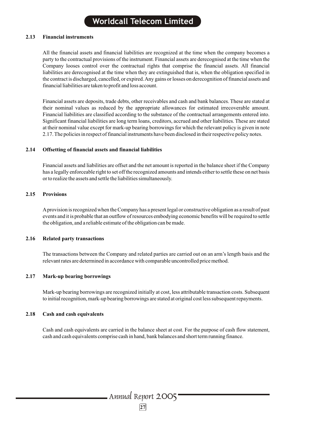#### **2.13 Financial instruments**

All the financial assets and financial liabilities are recognized at the time when the company becomes a party to the contractual provisions of the instrument. Financial assets are derecognised at the time when the Company looses control over the contractual rights that comprise the financial assets. All financial liabilities are derecognised at the time when they are extinguished that is, when the obligation specified in the contract is discharged, cancelled, or expired. Any gains or losses on derecognition of financial assets and financial liabilities are taken to profit and loss account.

Financial assets are deposits, trade debts, other receivables and cash and bank balances. These are stated at their nominal values as reduced by the appropriate allowances for estimated irrecoverable amount. Financial liabilities are classified according to the substance of the contractual arrangements entered into. Significant financial liabilities are long term loans, creditors, accrued and other liabilities. These are stated at their nominal value except for mark-up bearing borrowings for which the relevant policy is given in note 2.17. The policies in respect of financial instruments have been disclosed in their respective policy notes.

#### **2.14 Offsetting of financial assets and financial liabilities**

Financial assets and liabilities are offset and the net amount is reported in the balance sheet if the Company has a legally enforceable right to set off the recognized amounts and intends either to settle these on net basis or to realize the assets and settle the liabilities simultaneously.

#### **2.15 Provisions**

A provision is recognized when the Company has a present legal or constructive obligation as a result of past events and it is probable that an outflow of resources embodying economic benefits will be required to settle the obligation, and a reliable estimate of the obligation can be made.

#### **2.16 Related party transactions**

The transactions between the Company and related parties are carried out on an arm's length basis and the relevant rates are determined in accordance with comparable uncontrolled price method.

#### **2.17 Mark-up bearing borrowings**

Mark-up bearing borrowings are recognized initially at cost, less attributable transaction costs. Subsequent to initial recognition, mark-up bearing borrowings are stated at original cost less subsequent repayments.

#### **2.18 Cash and cash equivalents**

Cash and cash equivalents are carried in the balance sheet at cost. For the purpose of cash flow statement, cash and cash equivalents comprise cash in hand, bank balances and short term running finance.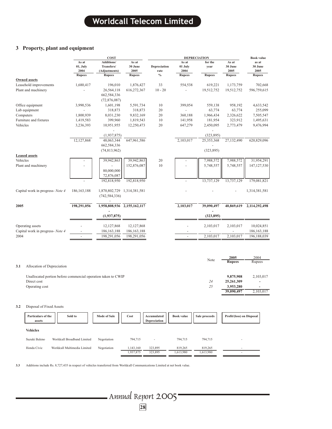### **3 Property, plant and equipment**

|                                  |                           | <b>COST</b>                               |                             | <b>DEPRECIATION</b>  |                          |                 | <b>Book value</b>        |                          |
|----------------------------------|---------------------------|-------------------------------------------|-----------------------------|----------------------|--------------------------|-----------------|--------------------------|--------------------------|
|                                  | As at<br>01, July<br>2004 | Additions/<br>Transfers/<br>(Adjustments) | As at<br>30 June<br>2005    | Depreciation<br>rate | As at<br>01 July<br>2004 | for the<br>year | As at<br>30 June<br>2005 | as at<br>30 June<br>2005 |
|                                  | <b>Rupees</b>             | <b>Rupees</b>                             | <b>Rupees</b>               | $\frac{0}{0}$        | <b>Rupees</b>            | <b>Rupees</b>   | <b>Rupees</b>            | <b>Rupees</b>            |
| <b>Owned assets</b>              |                           |                                           |                             |                      |                          |                 |                          |                          |
| Leasehold improvements           | 1,680,417                 | 196,010                                   | 1,876,427                   | 33                   | 554,538                  | 619,221         | 1,173,759                | 702,668                  |
| Plant and machinery              |                           | 26,564,118                                | 616,272,367                 | $10 - 20$            |                          | 19,512,752      | 19,512,752               | 596,759,615              |
|                                  |                           | 662,584,336                               |                             |                      |                          |                 |                          |                          |
|                                  |                           | (72,876,087)                              |                             |                      |                          |                 |                          |                          |
| Office equipment                 | 3,990,536                 | 1,601,198                                 | 5,591,734                   | 10                   | 399,054                  | 559,138         | 958,192                  | 4,633,542                |
| Lab equipment                    |                           | 318,873                                   | 318,873                     | 20                   |                          | 63,774          | 63,774                   | 255,099                  |
| Computers                        | 1,800,939                 | 8,031,230                                 | 9,832,169                   | 20                   | 360,188                  | 1,966,434       | 2,326,622                | 7,505,547                |
| Furniture and fixtures           | 1,419,583                 | 399,960                                   | 1,819,543                   | 10                   | 141,958                  | 181,954         | 323,912                  | 1,495,631                |
| Vehicles                         | 3,236,393                 | 10,951,955                                | 12,250,473                  | 20                   | 647,279                  | 2,450,095       | 2,773,479                | 9,476,994                |
|                                  |                           |                                           |                             |                      |                          |                 |                          |                          |
|                                  |                           | (1,937,875)                               | 647,961,586                 |                      |                          | (323, 895)      | 27,132,490               | 620,829,096              |
|                                  | 12,127,868                | 48,063,344                                |                             |                      | 2,103,017                | 25,353,368      |                          |                          |
|                                  |                           | 662,584,336                               |                             |                      |                          | (323, 895)      |                          |                          |
| <b>Leased assets</b>             |                           | (74,813,962)                              |                             |                      |                          |                 |                          |                          |
| Vehicles                         |                           | 39,942,863                                | 39,942,863                  | 20                   |                          | 7,988,572       | 7,988,572                | 31,954,291               |
| Plant and machinery              |                           |                                           | 152,876,087                 | 10                   |                          | 5,748,557       | 5,748,557                | 147, 127, 530            |
|                                  |                           | 80,000,000                                |                             |                      |                          |                 |                          |                          |
|                                  |                           | 72,876,087                                |                             |                      |                          |                 |                          |                          |
|                                  |                           | 192,818,950                               | 192,818,950                 |                      | ×.                       | 13,737,129      | 13,737,129               | 179,081,821              |
|                                  |                           |                                           |                             |                      |                          |                 |                          |                          |
| Capital work in progress- Note 4 | 186, 163, 188             | 1,870,802,729<br>(742, 584, 336)          | 1,314,381,581               |                      |                          |                 |                          | 1,314,381,581            |
| 2005                             | 198,291,056               |                                           | 1,958,808,936 2,155,162,117 |                      | 2,103,017                | 39,090,497      | 40,869,619               | 2,114,292,498            |
|                                  |                           |                                           |                             |                      |                          |                 |                          |                          |
|                                  |                           | (1,937,875)                               |                             |                      |                          | (323, 895)      |                          |                          |
| Operating assets                 |                           | 12,127,868                                | 12,127,868                  |                      |                          | 2,103,017       | 2,103,017                | 10,024,851               |
| Capital work in progress- Note 4 |                           | 186, 163, 188                             | 186, 163, 188               |                      |                          |                 |                          | 186, 163, 188            |
| 2004                             |                           | 198.291.056                               | 198.291.056                 |                      | $\sim$                   | 2,103,017       | 2,103,017                | 196.188.039              |
|                                  |                           |                                           |                             |                      |                          |                 |                          |                          |

|     |                                                               |      | 2005          | 2004                     |
|-----|---------------------------------------------------------------|------|---------------|--------------------------|
|     |                                                               | Note | <b>Rupees</b> | Rupees                   |
| 3.1 | Allocation of Depreciation                                    |      |               |                          |
|     | Unallocated portion before commercial operation taken to CWIP |      | 9,875,908     | 2,103,017                |
|     | Direct cost                                                   | 24   | 25,261,309    | $\overline{\phantom{a}}$ |
|     | Operating cost                                                | 25   | 3,953,280     | $\overline{\phantom{a}}$ |
|     |                                                               |      | 39,090,497    | 2,103,017                |

#### **3.2** Disposal of Fixed Assets

| Particulars of the<br>assets | Sold to                      | <b>Mode of Sale</b> | Cost                   | Accumulated<br>Depreciation | <b>Book value</b>    | Sale proceeds        | Profit/(loss) on Disposal |
|------------------------------|------------------------------|---------------------|------------------------|-----------------------------|----------------------|----------------------|---------------------------|
| <b>Vehicles</b>              |                              |                     |                        |                             |                      |                      |                           |
| Suzuki Baleno                | Worldcall Broadband Limited  | Negotiation         | 794,715                | $\overline{\phantom{a}}$    | 794,715              | 794,715              |                           |
| Honda Civic                  | Worldcall Multimedia Limited | Negotiation         | 1.143.160<br>1,937,875 | 323,895<br>323,895          | 819,265<br>1.613.980 | 819,265<br>1,613,980 | $\overline{\phantom{a}}$  |

**3.3** Additions include Rs. 8,727,435 in respect of vehicles transferred from Worldcall Communications Limited at net book value.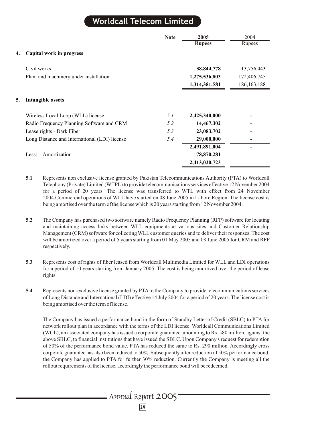|    |                                               | <b>Note</b> | 2005          | 2004          |
|----|-----------------------------------------------|-------------|---------------|---------------|
|    |                                               |             | <b>Rupees</b> | Rupees        |
| 4. | Capital work in progress                      |             |               |               |
|    | Civil works                                   |             | 38,844,778    | 13,756,443    |
|    | Plant and machinery under installation        |             | 1,275,536,803 | 172,406,745   |
|    |                                               |             | 1,314,381,581 | 186, 163, 188 |
| 5. | <b>Intangible assets</b>                      |             |               |               |
|    | Wireless Local Loop (WLL) license             | 5.1         | 2,425,340,000 |               |
|    | Radio Frequency Planning Software and CRM     | 5.2         | 14,467,302    |               |
|    | Lease rights - Dark Fiber                     | 5.3         | 23,083,702    |               |
|    | Long Distance and International (LDI) license | 5.4         | 29,000,000    |               |
|    |                                               |             | 2,491,891,004 |               |
|    | Amortization<br>Less:                         |             | 78,870,281    |               |
|    |                                               |             | 2,413,020,723 |               |
|    |                                               |             |               |               |

**5.1** Represents non exclusive license granted by Pakistan Telecommunications Authority (PTA) to Worldcall Telephony (Private) Limited (WTPL) to provide telecommunications services effective 12 November 2004 for a period of 20 years. The license was transferred to WTL with effect from 24 November 2004.Commercial operations of WLL have started on 08 June 2005 in Lahore Region. The license cost is being amortised over the term of the license which is 20 years starting from 12 November 2004.

- **5.2** The Company has purchased two software namely Radio Frequency Planning (RFP) software for locating and maintaining access links between WLL equipments at various sites and Customer Relationship Management (CRM) software for collecting WLL customer queries and to deliver their responses. The cost will be amortized over a period of 5 years starting from 01 May 2005 and 08 June 2005 for CRM and RFP respectively.
- **5.3** Represents cost of rights of fiber leased from Worldcall Multimedia Limited for WLL and LDI operations for a period of 10 years starting from January 2005. The cost is being amortized over the period of lease rights.
- **5.4** Represents non-exclusive license granted by PTA to the Company to provide telecommunications services of Long Distance and International (LDI) effective 14 July 2004 for a period of 20 years. The license cost is being amortised over the term of license.

The Company has issued a performance bond in the form of Standby Letter of Credit (SBLC) to PTA for network rollout plan in accordance with the terms of the LDI license. Worldcall Communications Limited (WCL), an associated company has issued a corporate guarantee amounting to Rs. 580 million, against the above SBLC, to financial institutions that have issued the SBLC. Upon Company's request for redemption of 50% of the performance bond value, PTA has reduced the same to Rs. 290 million. Accordingly cross corporate guarantee has also been reduced to 50%. Subsequently after reduction of 50% performance bond, the Company has applied to PTA for further 30% reduction. Currently the Company is meeting all the rollout requirements of the license, accordingly the performance bond will be redeemed.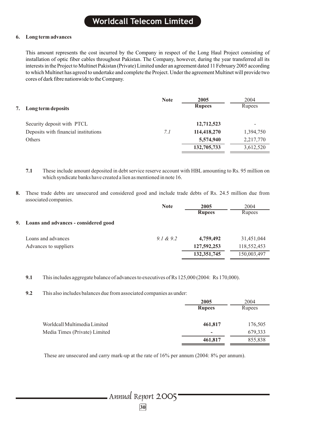#### **6. Long term advances**

This amount represents the cost incurred by the Company in respect of the Long Haul Project consisting of installation of optic fiber cables throughout Pakistan. The Company, however, during the year transferred all its interests in the Project to Multinet Pakistan (Private) Limited under an agreement dated 11 February 2005 according to which Multinet has agreed to undertake and complete the Project. Under the agreement Multinet will provide two cores of dark fibre nationwide to the Company.

|    |                                      | <b>Note</b> | 2005          | 2004      |
|----|--------------------------------------|-------------|---------------|-----------|
| 7. | Long term deposits                   |             | <b>Rupees</b> | Rupees    |
|    | Security deposit with PTCL           |             | 12,712,523    | -         |
|    | Deposits with financial institutions | 7.1         | 114,418,270   | 1,394,750 |
|    | Others                               |             | 5,574,940     | 2,217,770 |
|    |                                      |             | 132,705,733   | 3,612,520 |
|    |                                      |             |               |           |

- **7.1** These include amount deposited in debt service reserve account with HBL amounting to Rs. 95 million on which syndicate banks have created a lien as mentioned in note 16.
- **8.** These trade debts are unsecured and considered good and include trade debts of Rs. 24.5 million due from associated companies.

|                                      | <b>Note</b> | 2005          | 2004        |
|--------------------------------------|-------------|---------------|-------------|
|                                      |             | <b>Rupees</b> | Rupees      |
| Loans and advances - considered good |             |               |             |
| Loans and advances                   | 9.1 & 9.2   | 4,759,492     | 31,451,044  |
| Advances to suppliers                |             | 127,592,253   | 118,552,453 |
|                                      |             | 132, 351, 745 | 150,003,497 |
|                                      |             |               |             |

- **9.1** This includes aggregate balance of advances to executives of Rs 125,000 (2004: Rs 170,000).
- **9.2** This also includes balances due from associated companies as under:

|                               | 2005          | 2004    |
|-------------------------------|---------------|---------|
|                               | <b>Rupees</b> | Rupees  |
| Worldcall Multimedia Limited  | 461,817       |         |
|                               |               | 176,505 |
| Media Times (Private) Limited | ۰             | 679,333 |
|                               | 461,817       | 855,838 |

These are unsecured and carry mark-up at the rate of 16% per annum (2004: 8% per annum).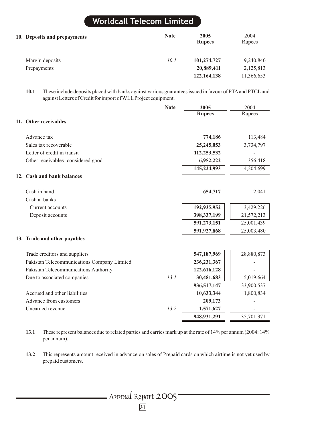| 10. Deposits and prepayments | <b>Note</b> | 2005          | 2004       |
|------------------------------|-------------|---------------|------------|
|                              |             | <b>Rupees</b> | Rupees     |
| Margin deposits              | 10.1        | 101,274,727   | 9,240,840  |
| Prepayments                  |             | 20,889,411    | 2,125,813  |
|                              |             | 122, 164, 138 | 11,366,653 |

**10.1** These include deposits placed with banks against various guarantees issued in favour of PTA and PTCL and against Letters of Credit for import of WLL Project equipment.

|                                             | <b>Note</b> | 2005          | 2004       |
|---------------------------------------------|-------------|---------------|------------|
|                                             |             | <b>Rupees</b> | Rupees     |
| 11. Other receivables                       |             |               |            |
| Advance tax                                 |             | 774,186       | 113,484    |
| Sales tax recoverable                       |             | 25,245,053    | 3,734,797  |
| Letter of credit in transit                 |             | 112,253,532   |            |
| Other receivables-considered good           |             | 6,952,222     | 356,418    |
|                                             |             | 145,224,993   | 4,204,699  |
| 12. Cash and bank balances                  |             |               |            |
| Cash in hand                                |             | 654,717       | 2,041      |
| Cash at banks                               |             |               |            |
| Current accounts                            |             | 192,935,952   | 3,429,226  |
| Deposit accounts                            |             | 398,337,199   | 21,572,213 |
|                                             |             | 591,273,151   | 25,001,439 |
|                                             |             | 591,927,868   | 25,003,480 |
| 13. Trade and other payables                |             |               |            |
| Trade creditors and suppliers               |             | 547,187,969   | 28,880,873 |
| Pakistan Telecommunications Company Limited |             | 236, 231, 367 |            |
| Pakistan Telecommunications Authority       |             | 122,616,128   |            |
| Due to associated companies                 | 13.1        | 30,481,683    | 5,019,664  |
|                                             |             | 936,517,147   | 33,900,537 |
| Accrued and other liabilities               |             | 10,633,344    | 1,800,834  |
| Advance from customers                      |             | 209,173       |            |
| Unearned revenue                            | 13.2        | 1,571,627     |            |
|                                             |             | 948,931,291   | 35,701,371 |

**13.1** These represent balances due to related parties and carries mark up at the rate of 14% per annum (2004: 14% per annum).

**13.2** This represents amount received in advance on sales of Prepaid cards on which airtime is not yet used by prepaid customers.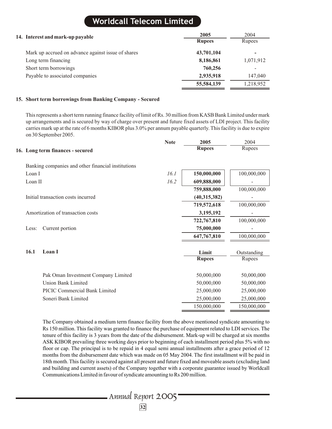| 14. Interest and mark-up payable                   | 2005          | 2004                     |
|----------------------------------------------------|---------------|--------------------------|
|                                                    | <b>Rupees</b> | Rupees                   |
| Mark up accrued on advance against issue of shares | 43,701,104    | $\overline{\phantom{0}}$ |
| Long term financing                                | 8,186,861     | 1,071,912                |
| Short term borrowings                              | 760,256       |                          |
| Payable to associated companies                    | 2,935,918     | 147,040                  |
|                                                    | 55,584,139    | 1,218,952                |

#### **15. Short term borrowings from Banking Company - Secured**

This represents a short term running finance facility of limit of Rs. 30 million from KASB Bank Limited under mark up arrangements and is secured by way of charge over present and future fixed assets of LDI project. This facility carries mark up at the rate of 6 months KIBOR plus 3.0% per annum payable quarterly. This facility is due to expire on 30 September 2005.

|         |                                                    | <b>Note</b> | 2005           | 2004        |
|---------|----------------------------------------------------|-------------|----------------|-------------|
|         | 16. Long term finances - secured                   |             | <b>Rupees</b>  | Rupees      |
|         | Banking companies and other financial institutions |             |                |             |
| Loan I  |                                                    | 16.1        | 150,000,000    | 100,000,000 |
| Loan II |                                                    | 16.2        | 609,888,000    |             |
|         |                                                    |             | 759,888,000    | 100,000,000 |
|         | Initial transaction costs incurred                 |             | (40, 315, 382) |             |
|         |                                                    |             | 719,572,618    | 100,000,000 |
|         | Amortization of transaction costs                  |             | 3,195,192      |             |
|         |                                                    |             | 722,767,810    | 100,000,000 |
| Less:   | Current portion                                    |             | 75,000,000     |             |
|         |                                                    |             | 647,767,810    | 100,000,000 |
| 16.1    | Loan I                                             |             | Limit          | Outstanding |
|         |                                                    |             | <b>Rupees</b>  | Rupees      |
|         |                                                    |             | 50,000,000     | 50,000,000  |
|         | Pak Oman Investment Company Limited                |             |                |             |
|         | <b>Union Bank Limited</b>                          |             | 50,000,000     | 50,000,000  |
|         | <b>PICIC Commercial Bank Limited</b>               |             | 25,000,000     | 25,000,000  |
|         | Soneri Bank Limited                                |             | 25,000,000     | 25,000,000  |
|         |                                                    |             | 150,000,000    | 150,000,000 |

The Company obtained a medium term finance facility from the above mentioned syndicate amounting to Rs 150 million. This facility was granted to finance the purchase of equipment related to LDI services. The tenure of this facility is 3 years from the date of the disbursement. Mark-up will be charged at six months ASK KIBOR prevailing three working days prior to beginning of each installment period plus 5% with no floor or cap. The principal is to be repaid in 4 equal semi annual installments after a grace period of 12 months from the disbursement date which was made on 05 May 2004. The first installment will be paid in 18th month. This facility is secured against all present and future fixed and moveable assets (excluding land and building and current assets) of the Company together with a corporate guarantee issued by Worldcall Communications Limited in favour of syndicate amounting to Rs 200 million.

Annual Report 2005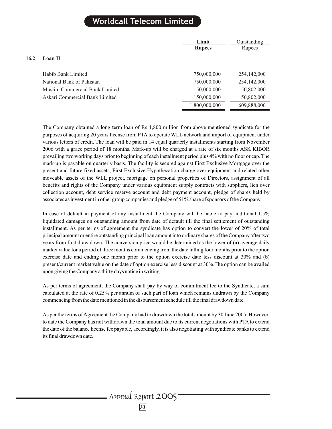|      |                                | Limit         | Outstanding   |
|------|--------------------------------|---------------|---------------|
|      |                                | <b>Rupees</b> | Rupees        |
| 16.2 | Loan II                        |               |               |
|      |                                |               |               |
|      | Habib Bank Limited             | 750,000,000   | 254, 142, 000 |
|      | National Bank of Pakistan      | 750,000,000   | 254,142,000   |
|      | Muslim Commercial Bank Limited | 150,000,000   | 50,802,000    |
|      | Askari Commercial Bank Limited | 150,000,000   | 50,802,000    |
|      |                                | 1,800,000,000 | 609,888,000   |
|      |                                |               |               |

The Company obtained a long term loan of Rs 1,800 million from above mentioned syndicate for the purposes of acquiring 20 years license from PTA to operate WLL network and import of equipment under various letters of credit. The loan will be paid in 14 equal quarterly installments starting from November 2006 with a grace period of 18 months. Mark-up will be charged at a rate of six months ASK KIBOR prevailing two working days prior to beginning of each installment period plus 4% with no floor or cap. The mark-up is payable on quarterly basis. The facility is secured against First Exclusive Mortgage over the present and future fixed assets, First Exclusive Hypothecation charge over equipment and related other moveable assets of the WLL project, mortgage on personal properties of Directors, assignment of all benefits and rights of the Company under various equipment supply contracts with suppliers, lien over collection account, debt service reserve account and debt payment account, pledge of shares held by associates as investment in other group companies and pledge of 51% share of sponsors of the Company.

In case of default in payment of any installment the Company will be liable to pay additional 1.5% liquidated damages on outstanding amount from date of default till the final settlement of outstanding installment. As per terms of agreement the syndicate has option to convert the lower of 20% of total principal amount or entire outstanding principal loan amount into ordinary shares of the Company after two years from first draw down. The conversion price would be determined as the lower of (a) average daily market value for a period of three months commencing from the date falling four months prior to the option exercise date and ending one month prior to the option exercise date less discount at 30% and (b) present/current market value on the date of option exercise less discount at 30%.The option can be availed upon giving the Company a thirty days notice in writing.

As per terms of agreement, the Company shall pay by way of commitment fee to the Syndicate, a sum calculated at the rate of 0.25% per annum of such part of loan which remains undrawn by the Company commencing from the date mentioned in the disbursement schedule till the final drawdown date.

As per the terms of Agreement the Company had to drawdown the total amount by 30 June 2005. However, to date the Company has not withdrawn the total amount due to its current negotiations with PTA to extend the date of the balance license fee payable, accordingly, it is also negotiating with syndicate banks to extend its final drawdown date.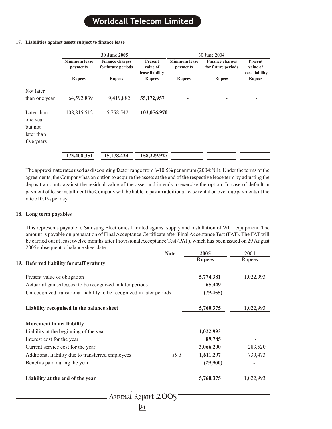#### **17. Liabilities against assets subject to finance lease**

|                                                               |                                  | <b>30 June 2005</b>                          |                                        | 30 June 2004                     |                                              |                                        |
|---------------------------------------------------------------|----------------------------------|----------------------------------------------|----------------------------------------|----------------------------------|----------------------------------------------|----------------------------------------|
|                                                               | <b>Minimum lease</b><br>payments | <b>Finance charges</b><br>for future periods | Present<br>value of<br>lease liability | <b>Minimum</b> lease<br>payments | <b>Finance charges</b><br>for future periods | Present<br>value of<br>lease liability |
|                                                               | <b>Rupees</b>                    | <b>Rupees</b>                                | <b>Rupees</b>                          | <b>Rupees</b>                    | <b>Rupees</b>                                | <b>Rupees</b>                          |
| Not later                                                     |                                  |                                              |                                        |                                  |                                              |                                        |
| than one year                                                 | 64,592,839                       | 9,419,882                                    | 55,172,957                             |                                  |                                              |                                        |
| Later than<br>one year<br>but not<br>later than<br>five years | 108,815,512                      | 5,758,542                                    | 103,056,970                            |                                  |                                              |                                        |
|                                                               | 173,408,351                      | 15,178,424                                   | 158,229,927                            |                                  |                                              |                                        |

The approximate rates used as discounting factor range from 6-10.5% per annum (2004:Nil). Under the terms of the agreements, the Company has an option to acquire the assets at the end of the respective lease term by adjusting the deposit amounts against the residual value of the asset and intends to exercise the option. In case of default in payment of lease installment the Company will be liable to pay an additional lease rental on over due payments at the rate of 0.1% per day.

#### **18. Long term payables**

This represents payable to Samsung Electronics Limited against supply and installation of WLL equipment. The amount is payable on preparation of Final Acceptance Certificate after Final Acceptance Test (FAT). The FAT will be carried out at least twelve months after Provisional Acceptance Test (PAT), which has been issued on 29 August 2005 subsequent to balance sheet date.

|                                                            | <b>Note</b>                               | 2005                                                                  | 2004      |
|------------------------------------------------------------|-------------------------------------------|-----------------------------------------------------------------------|-----------|
|                                                            |                                           | <b>Rupees</b>                                                         | Rupees    |
| Present value of obligation                                |                                           | 5,774,381                                                             | 1,022,993 |
| Actuarial gains/(losses) to be recognized in later periods |                                           | 65,449                                                                |           |
|                                                            |                                           | (79, 455)                                                             |           |
| Liability recognised in the balance sheet                  |                                           | 5,760,375                                                             | 1,022,993 |
| Movement in net liability                                  |                                           |                                                                       |           |
| Liability at the beginning of the year                     |                                           | 1,022,993                                                             |           |
| Interest cost for the year                                 |                                           | 89,785                                                                |           |
| Current service cost for the year                          |                                           | 3,066,200                                                             | 283,520   |
| Additional liability due to transferred employees          | 19.1                                      | 1,611,297                                                             | 739,473   |
| Benefits paid during the year                              |                                           | (29,900)                                                              |           |
| Liability at the end of the year                           |                                           | 5,760,375                                                             | 1,022,993 |
|                                                            | 19. Deferred liability for staff gratuity | Unrecognized transitional liability to be recognized in later periods |           |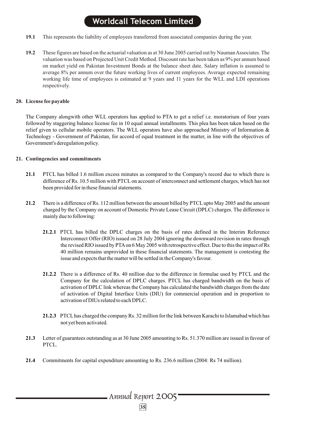- **19.1** This represents the liability of employees transferred from associated companies during the year.
- **19.2** These figures are based on the actuarial valuation as at 30 June 2005 carried out by Nauman Associates. The valuation was based on Projected Unit Credit Method. Discount rate has been taken as 9% per annum based on market yield on Pakistan Investment Bonds at the balance sheet date. Salary inflation is assumed to average 8% per annum over the future working lives of current employees. Average expected remaining working life time of employees is estimated at 9 years and 11 years for the WLL and LDI operations respectively.

#### **20. License fee payable**

The Company alongwith other WLL operators has applied to PTA to get a relief i.e. moratorium of four years followed by staggering balance license fee in 10 equal annual installments. This plea has been taken based on the relief given to cellular mobile operators. The WLL operators have also approached Ministry of Information & Technology - Government of Pakistan, for accord of equal treatment in the matter, in line with the objectives of Government's deregulation policy.

#### **21. Contingencies and commitments**

- **21.1** PTCL has billed 1.6 million excess minutes as compared to the Company's record due to which there is difference of Rs. 10.5 million with PTCL on account of interconnect and settlement charges, which has not been provided for in these financial statements.
- **21.2** There is a difference of Rs. 112 million between the amount billed by PTCL upto May 2005 and the amount charged by the Company on account of Domestic Private Lease Circuit (DPLC) charges. The difference is mainly due to following:
	- **21.2.1** PTCL has billed the DPLC charges on the basis of rates defined in the Interim Reference Interconnect Offer (RIO) issued on 28 July 2004 ignoring the downward revision in rates through the revised RIO issued by PTA on 6 May 2005 with retrospective effect. Due to this the impact of Rs 40 million remains unprovided in these financial statements. The management is contesting the issue and expects that the matter will be settled in the Company's favour.
	- **21.2.2** There is a difference of Rs. 40 million due to the difference in formulae used by PTCL and the Company for the calculation of DPLC charges. PTCL has charged bandwidth on the basis of activation of DPLC link whereas the Company has calculated the bandwidth charges from the date of activation of Digital Interface Units (DIU) for commercial operation and in proportion to activation of DIUs related to each DPLC.
	- **21.2.3** PTCL has charged the company Rs. 32 million for the link between Karachi to Islamabad which has not yet been activated.
- **21.3** Letter of guarantees outstanding as at 30 June 2005 amounting to Rs. 51.370 million are issued in favour of PTCL.
- **21.4** Commitments for capital expenditure amounting to Rs. 236.6 million (2004: Rs 74 million).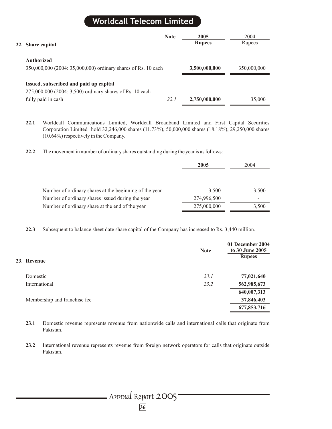|                                                               | <b>Note</b> | 2005          | 2004        |
|---------------------------------------------------------------|-------------|---------------|-------------|
| 22. Share capital                                             |             | <b>Rupees</b> | Rupees      |
| <b>Authorized</b>                                             |             |               |             |
| 350,000,000 (2004: 35,000,000) ordinary shares of Rs. 10 each |             | 3,500,000,000 | 350,000,000 |
| Issued, subscribed and paid up capital                        |             |               |             |
| 275,000,000 (2004: 3,500) ordinary shares of Rs. 10 each      |             |               |             |
| fully paid in cash                                            | 22.1        | 2,750,000,000 | 35,000      |

**22.1** Worldcall Communications Limited, Worldcall Broadband Limited and First Capital Securities Corporation Limited hold 32,246,000 shares (11.73%), 50,000,000 shares (18.18%), 29,250,000 shares (10.64%) respectively in the Company.

**22.2** The movement in number of ordinary shares outstanding during the year is as follows:

|                                                        | 2005        | 2004                     |  |
|--------------------------------------------------------|-------------|--------------------------|--|
|                                                        |             |                          |  |
|                                                        |             |                          |  |
| Number of ordinary shares at the beginning of the year | 3,500       | 3,500                    |  |
| Number of ordinary shares issued during the year       | 274,996,500 | $\overline{\phantom{0}}$ |  |
| Number of ordinary share at the end of the year        | 275,000,000 | 3,500                    |  |

**22.3** Subsequent to balance sheet date share capital of the Company has increased to Rs. 3,440 million.

| 23. Revenue                  | <b>Note</b> | 01 December 2004<br>to 30 June 2005<br><b>Rupees</b> |
|------------------------------|-------------|------------------------------------------------------|
| Domestic                     | 23.1        | 77,021,640                                           |
| International                | 23.2        | 562,985,673                                          |
|                              |             | 640,007,313                                          |
| Membership and franchise fee |             | 37,846,403                                           |
|                              |             | 677,853,716                                          |

**23.1** Domestic revenue represents revenue from nationwide calls and international calls that originate from Pakistan.

**23.2** International revenue represents revenue from foreign network operators for calls that originate outside Pakistan.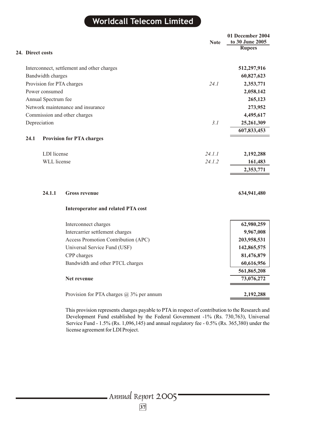|                  |                     |                                                 | <b>Note</b> | 01 December 2004<br>to 30 June 2005<br><b>Rupees</b> |
|------------------|---------------------|-------------------------------------------------|-------------|------------------------------------------------------|
| 24. Direct costs |                     |                                                 |             |                                                      |
|                  |                     | Interconnect, settlement and other charges      |             | 512,297,916                                          |
|                  | Bandwidth charges   |                                                 |             | 60,827,623                                           |
|                  |                     | Provision for PTA charges                       | 24.1        | 2,353,771                                            |
|                  | Power consumed      |                                                 |             | 2,058,142                                            |
|                  | Annual Spectrum fee |                                                 |             | 265,123                                              |
|                  |                     | Network maintenance and insurance               |             | 273,952                                              |
|                  |                     | Commission and other charges                    |             | 4,495,617                                            |
|                  | Depreciation        |                                                 | 3.1         | 25,261,309                                           |
|                  |                     |                                                 |             | 607,833,453                                          |
| 24.1             |                     | <b>Provision for PTA charges</b>                |             |                                                      |
|                  | LDI license         |                                                 | 24.1.1      | 2,192,288                                            |
|                  | WLL license         |                                                 | 24.1.2      | 161,483                                              |
|                  |                     |                                                 |             | 2,353,771                                            |
|                  |                     |                                                 |             |                                                      |
|                  | 24.1.1              | <b>Gross revenue</b>                            |             | 634,941,480                                          |
|                  |                     | Interoperator and related PTA cost              |             |                                                      |
|                  |                     | Interconnect charges                            |             | 62,980,259                                           |
|                  |                     | Intercarrier settlement charges                 |             | 9,967,008                                            |
|                  |                     | Access Promotion Contribution (APC)             |             | 203,958,531                                          |
|                  |                     | Universal Service Fund (USF)                    |             | 142,865,575                                          |
|                  |                     | CPP charges                                     |             | 81,476,879                                           |
|                  |                     | Bandwidth and other PTCL charges                |             | 60,616,956                                           |
|                  |                     |                                                 |             | 561,865,208                                          |
|                  |                     | Net revenue                                     |             | 73,076,272                                           |
|                  |                     | Provision for PTA charges $\omega$ 3% per annum |             | 2,192,288                                            |

This provision represents charges payable to PTA in respect of contribution to the Research and Development Fund established by the Federal Government -1% (Rs. 730,763), Universal Service Fund - 1.5% (Rs. 1,096,145) and annual regulatory fee - 0.5% (Rs. 365,380) under the license agreement for LDI Project.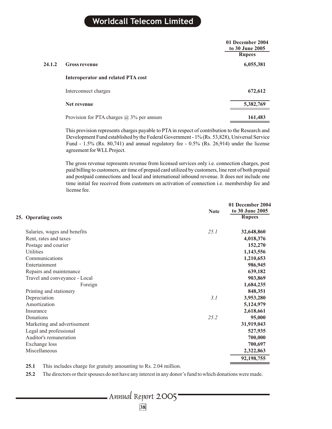|        |                                            | 01 December 2004 |
|--------|--------------------------------------------|------------------|
|        |                                            | to 30 June 2005  |
|        |                                            | <b>Rupees</b>    |
| 24.1.2 | <b>Gross revenue</b>                       | 6,055,381        |
|        | <b>Interoperator and related PTA cost</b>  |                  |
|        | Interconnect charges                       | 672,612          |
|        | Net revenue                                | 5,382,769        |
|        | Provision for PTA charges $@3\%$ per annum | 161,483          |

This provision represents charges payable to PTA in respect of contribution to the Research and Development Fund established by the Federal Government - 1% (Rs. 53,828), Universal Service Fund - 1.5% (Rs. 80,741) and annual regulatory fee - 0.5% (Rs. 26,914) under the license agreement for WLL Project.

The gross revenue represents revenue from licensed services only i.e. connection charges, post paid billing to customers, air time of prepaid card utilized by customers, line rent of both prepaid and postpaid connections and local and international inbound revenue. It does not include one time initial fee received from customers on activation of connection i.e. membership fee and license fee.

| <b>Note</b><br>25. Operating costs   | 01 December 2004<br>to 30 June 2005<br><b>Rupees</b> |
|--------------------------------------|------------------------------------------------------|
| Salaries, wages and benefits<br>25.1 | 32,648,860                                           |
| Rent, rates and taxes                | 4,018,376                                            |
| Postage and courier                  | 152,270                                              |
| Utilities                            | 1,143,556                                            |
| Communications                       | 1,210,653                                            |
| Entertainment                        | 986,945                                              |
| Repairs and maintenance              | 639,182                                              |
| Travel and conveyance - Local        | 903,869                                              |
| Foreign                              | 1,684,235                                            |
| Printing and stationery              | 848,351                                              |
| 3.1<br>Depreciation                  | 3,953,280                                            |
| Amortization                         | 5,124,979                                            |
| Insurance                            | 2,618,661                                            |
| Donations<br>25.2                    | 95,000                                               |
| Marketing and advertisement          | 31,919,043                                           |
| Legal and professional               | 527,935                                              |
| Auditor's remuneration               | 700,000                                              |
| Exchange loss                        | 700,697                                              |
| Miscellaneous                        | 2,322,863                                            |
|                                      | 92,198,755                                           |

**25.1** This includes charge for gratuity amounting to Rs. 2.04 million.

**25.2** The directors or their spouses do not have any interest in any donor's fund to which donations were made.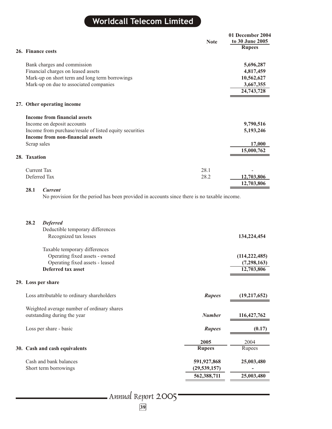| 26. Finance costs                                       | <b>Note</b> | 01 December 2004<br>to 30 June 2005<br><b>Rupees</b> |
|---------------------------------------------------------|-------------|------------------------------------------------------|
| Bank charges and commission                             |             | 5,696,287                                            |
| Financial charges on leased assets                      |             | 4,817,459                                            |
| Mark-up on short term and long term borrowings          |             | 10,562,627                                           |
| Mark-up on due to associated companies                  |             | 3,667,355                                            |
|                                                         |             | 24,743,728                                           |
| 27. Other operating income                              |             |                                                      |
| Income from financial assets                            |             |                                                      |
| Income on deposit accounts                              |             | 9,790,516                                            |
| Income from purchase/resale of listed equity securities |             | 5,193,246                                            |
| Income from non-financial assets                        |             |                                                      |
| Scrap sales                                             |             | 17,000                                               |
|                                                         |             | 15,000,762                                           |
| 28. Taxation                                            |             |                                                      |
| Current Tax                                             | 28.1        |                                                      |
| Deferred Tax                                            | 28.2        | 12,703,806                                           |
|                                                         |             | 12,703,806                                           |
| 28.1<br><b>Current</b>                                  |             |                                                      |

No provision for the period has been provided in accounts since there is no taxable income.

| 28.2<br><b>Deferred</b><br>Deductible temporary differences<br>Recognized tax losses |                               | 134,224,454                 |
|--------------------------------------------------------------------------------------|-------------------------------|-----------------------------|
| Taxable temporary differences<br>Operating fixed assets - owned                      |                               | (114, 222, 485)             |
| Operating fixed assets - leased<br>Deferred tax asset                                |                               | (7, 298, 163)<br>12,703,806 |
| 29. Loss per share                                                                   |                               |                             |
| Loss attributable to ordinary shareholders                                           | <b>Rupees</b>                 | (19,217,652)                |
| Weighted average number of ordinary shares<br>outstanding during the year            | <b>Number</b>                 | 116,427,762                 |
| Loss per share - basic                                                               | <b>Rupees</b>                 | (0.17)                      |
|                                                                                      | 2005                          | 2004                        |
| 30. Cash and cash equivalents                                                        | <b>Rupees</b>                 | Rupees                      |
| Cash and bank balances<br>Short term borrowings                                      | 591,927,868<br>(29, 539, 157) | 25,003,480                  |
|                                                                                      | 562,388,711                   | 25,003,480                  |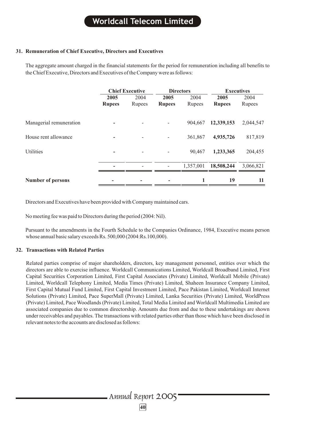#### **31. Remuneration of Chief Executive, Directors and Executives**

The aggregate amount charged in the financial statements for the period for remuneration including all benefits to the Chief Executive, Directors and Executives of the Company were as follows:

|                          | <b>Chief Executive</b> |                              | <b>Directors</b>      |                | <b>Executives</b>     |                |
|--------------------------|------------------------|------------------------------|-----------------------|----------------|-----------------------|----------------|
|                          | 2005<br><b>Rupees</b>  | 2004<br>Rupees               | 2005<br><b>Rupees</b> | 2004<br>Rupees | 2005<br><b>Rupees</b> | 2004<br>Rupees |
| Managerial remuneration  |                        |                              |                       | 904,667        | 12,339,153            | 2,044,547      |
| House rent allowance     |                        | $\qquad \qquad \blacksquare$ |                       | 361,867        | 4,935,726             | 817,819        |
| Utilities                | ۰                      |                              |                       | 90,467         | 1,233,365             | 204,455        |
|                          | ۰                      |                              |                       | 1,357,001      | 18,508,244            | 3,066,821      |
| <b>Number of persons</b> |                        |                              |                       | 1              | 19                    | 11             |

Directors and Executives have been provided with Company maintained cars.

No meeting fee was paid to Directors during the period (2004: Nil).

Pursuant to the amendments in the Fourth Schedule to the Companies Ordinance, 1984, Executive means person whose annual basic salary exceeds Rs. 500,000 (2004:Rs.100,000).

#### **32. Transactions with Related Parties**

Related parties comprise of major shareholders, directors, key management personnel, entities over which the directors are able to exercise influence. Worldcall Communications Limited, Worldcall Broadband Limited, First Capital Securities Corporation Limited, First Capital Associates (Private) Limited, Worldcall Mobile (Private) Limited, Worldcall Telephony Limited, Media Times (Private) Limited, Shaheen Insurance Company Limited, First Capital Mutual Fund Limited, First Capital Investment Limited, Pace Pakistan Limited, Worldcall Internet Solutions (Private) Limited, Pace SuperMall (Private) Limited, Lanka Securities (Private) Limited, WorldPress (Private) Limited, Pace Woodlands (Private) Limited, Total Media Limited and Worldcall Multimedia Limited are associated companies due to common directorship. Amounts due from and due to these undertakings are shown under receivables and payables. The transactions with related parties other than those which have been disclosed in relevant notes to the accounts are disclosed as follows: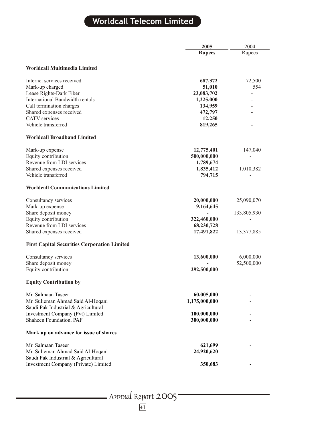|                                                     | 2005          | 2004        |
|-----------------------------------------------------|---------------|-------------|
|                                                     | <b>Rupees</b> | Rupees      |
|                                                     |               |             |
| Worldcall Multimedia Limited                        |               |             |
| Internet services received                          | 687,372       | 72,500      |
| Mark-up charged                                     | 51,010        | 554         |
| Lease Rights-Dark Fiber                             | 23,083,702    |             |
| <b>International Bandwidth rentals</b>              | 1,225,000     |             |
| Call termination charges                            | 134,959       |             |
| Shared expenses received                            | 472,797       |             |
| <b>CATV</b> services                                | 12,250        |             |
| Vehicle transferred                                 | 819,265       |             |
| <b>Worldcall Broadband Limited</b>                  |               |             |
| Mark-up expense                                     | 12,775,401    | 147,040     |
| Equity contribution                                 | 500,000,000   |             |
| Revenue from LDI services                           | 1,789,674     |             |
| Shared expenses received                            | 1,835,412     | 1,010,382   |
| Vehicle transferred                                 | 794,715       |             |
| <b>Worldcall Communications Limited</b>             |               |             |
| Consultancy services                                | 20,000,000    | 25,090,070  |
| Mark-up expense                                     | 9,164,645     |             |
| Share deposit money                                 |               | 133,805,930 |
| Equity contribution                                 | 322,460,000   |             |
| Revenue from LDI services                           | 68,230,728    |             |
| Shared expenses received                            | 17,491,822    | 13,377,885  |
| <b>First Capital Securities Corporation Limited</b> |               |             |
| Consultancy services                                | 13,600,000    | 6,000,000   |
| Share deposit money                                 |               | 52,500,000  |
| Equity contribution                                 | 292,500,000   |             |
| <b>Equity Contribution by</b>                       |               |             |
| Mr. Salmaan Taseer                                  | 60,005,000    |             |
| Mr. Sulieman Ahmad Said Al-Hoqani                   | 1,175,000,000 |             |
| Saudi Pak Industrial & Agricultural                 |               |             |
| Investment Company (Pvt) Limited                    | 100,000,000   |             |
| Shaheen Foundation, PAF                             | 300,000,000   |             |
| Mark up on advance for issue of shares              |               |             |
| Mr. Salmaan Taseer                                  | 621,699       |             |
| Mr. Sulieman Ahmad Said Al-Hoqani                   | 24,920,620    |             |
| Saudi Pak Industrial & Agricultural                 |               |             |
| Investment Company (Private) Limited                | 350,683       |             |

 $\_$ Annual Report 2005 $-$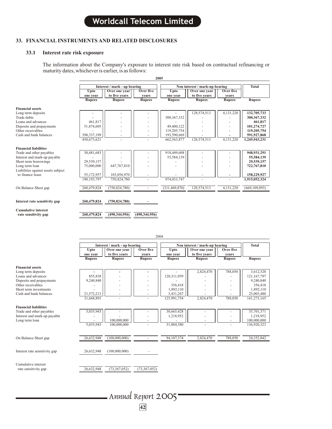#### **33. FINANCIAL INSTRUMENTS AND RELATED DISCLOSURES**

#### **33.1 Interest rate risk exposure**

The information about the Company's exposure to interest rate risk based on contractual refinancing or maturity dates, whichever is earlier, is as follows:

|                                    |                                                                |                                |                 | 2005            |                                |               |                 |
|------------------------------------|----------------------------------------------------------------|--------------------------------|-----------------|-----------------|--------------------------------|---------------|-----------------|
|                                    | Interest / mark - up bearing<br>Non interest / mark-up bearing |                                |                 | <b>Total</b>    |                                |               |                 |
|                                    |                                                                |                                | Over five       |                 |                                | Over five     |                 |
|                                    | Upto                                                           | Over one year                  |                 | Upto            | Over one year                  |               |                 |
|                                    | one year                                                       | to five years<br><b>Rupees</b> | vears           | one year        | to five years<br><b>Rupees</b> | vears         |                 |
|                                    | <b>Rupees</b>                                                  |                                | <b>Rupees</b>   | <b>Rupees</b>   |                                | <b>Rupees</b> | <b>Rupees</b>   |
| <b>Financial assets</b>            |                                                                |                                |                 |                 |                                |               |                 |
|                                    |                                                                |                                |                 |                 |                                |               |                 |
| Long term deposits                 |                                                                |                                |                 |                 | 128,574,513                    | 4,131,220     | 132,705,733     |
| Trade debts                        |                                                                |                                |                 | 300, 367, 332   |                                |               | 300, 367, 332   |
| Loans and advances                 | 461,817                                                        |                                |                 |                 |                                |               | 461,817         |
| Deposits and prepayments           | 51,874,605                                                     |                                |                 | 49,400,122      |                                |               | 101,274,727     |
| Other receivables                  |                                                                |                                |                 | 119,205,754     |                                |               | 119,205,754     |
| Cash and bank balances             | 398,337,199                                                    |                                | $\overline{a}$  | 193,590,669     |                                |               | 591,927,868     |
|                                    | 450,673,621                                                    |                                |                 | 662, 563, 877   | 128,574,513                    | 4,131,220     | 1,245,943,231   |
|                                    |                                                                |                                |                 |                 |                                |               |                 |
| <b>Financial liabilities</b>       |                                                                |                                |                 |                 |                                |               |                 |
| Trade and other payables           | 30,481,683                                                     |                                |                 | 918,449,608     |                                |               | 948, 931, 291   |
| Interest and mark-up payable       |                                                                |                                |                 | 55,584,139      |                                |               | 55,584,139      |
| Short term borrowings              | 29,539,157                                                     |                                |                 |                 |                                |               | 29,539,157      |
| Long term loan                     | 75,000,000                                                     | 647,767,810                    |                 |                 |                                |               | 722,767,810     |
| Liabilities against assets subject |                                                                |                                |                 |                 |                                |               |                 |
| to finance lease                   | 55,172,957                                                     | 103,056,970                    |                 |                 |                                |               | 158,229,927     |
|                                    | 190, 193, 797                                                  | 750,824,780                    |                 | 974,033,747     |                                |               | 1,915,052,324   |
|                                    |                                                                |                                |                 |                 |                                |               |                 |
| On Balance Sheet gap               | 260,479,824                                                    | (750, 824, 780)                | $\mathcal{L}$   | (311, 469, 870) | 128,574,513                    | 4,131,220     | (669, 109, 093) |
|                                    |                                                                |                                |                 |                 |                                |               |                 |
|                                    |                                                                |                                |                 |                 |                                |               |                 |
| Interest rate sensitivity gap      | 260,479,824                                                    | (750, 824, 780)                |                 |                 |                                |               |                 |
|                                    |                                                                |                                |                 |                 |                                |               |                 |
| <b>Cumulative interest</b>         |                                                                |                                |                 |                 |                                |               |                 |
| rate sensitivity gap               | 260,479,824                                                    | (490, 344, 956)                | (490, 344, 956) |                 |                                |               |                 |
|                                    |                                                                |                                |                 |                 |                                |               |                 |
|                                    |                                                                |                                |                 |                 |                                |               |                 |
|                                    |                                                                |                                |                 |                 |                                |               |                 |
|                                    |                                                                |                                |                 |                 |                                |               |                 |
|                                    |                                                                |                                |                 | 2004            |                                |               |                 |
|                                    |                                                                |                                |                 |                 |                                |               |                 |
|                                    |                                                                | Interest / mark - up bearing   |                 |                 | Non interest / mark-up bearing |               | <b>Total</b>    |
|                                    | Upto                                                           | Over one year                  | Over five       | Upto            | Over one year                  | Over five     |                 |
|                                    | one year                                                       | to five years                  | years           | one year        | to five years                  | years         |                 |
|                                    | <b>Rupees</b>                                                  | <b>Rupees</b>                  | <b>Rupees</b>   | <b>Rupees</b>   | <b>Rupees</b>                  | <b>Rupees</b> | <b>Rupees</b>   |
|                                    |                                                                |                                |                 |                 |                                |               |                 |
| <b>Financial assets</b>            |                                                                |                                |                 |                 |                                |               |                 |
| Long term deposits                 |                                                                |                                |                 |                 | 2,824,470                      | 788,050       | 3,612,520       |
| Loans and advances                 | 855,838                                                        |                                |                 | 120,311,959     |                                |               | 121, 167, 797   |
| Deposits and prepayments           | 9,240,840                                                      |                                |                 |                 |                                |               | 9,240,840       |
| Other receivables                  |                                                                |                                |                 | 356,418         |                                |               | 356,418         |
| Short term investments             |                                                                | ٠                              | $\sim$          | 1,892,110       |                                |               | 1,892,110       |
| Cash and bank balances             | 21,572,213                                                     |                                |                 | 3,431,267       |                                |               | 25,003,480      |
|                                    | 31,668,891                                                     |                                |                 | 125,991,754     | 2,824,470                      | 788,050       | 161,273,165     |
|                                    |                                                                |                                |                 |                 |                                |               |                 |
| <b>Financial liabilities</b>       |                                                                |                                |                 |                 |                                |               |                 |
| Trade and other payables           | 5,035,943                                                      |                                | ÷               | 30,665,428      |                                |               | 35,701,371      |
| Interest and mark-up payable       |                                                                |                                |                 | 1,218,952       |                                |               | 1,218,952       |
| Long term loan                     |                                                                | 100.000.000                    |                 | ÷.              |                                |               | 100,000,000     |
|                                    |                                                                |                                |                 |                 |                                |               |                 |

| <b>Service</b><br><b>COMPANY</b><br>On Balance<br>Sheet gap | .948<br>26.632. | $1.000.000^{\circ}$<br>100 | $10^{7}$<br>$\sim$ $\sim$<br>Q۵<br>- 14<br><b>T.L</b><br>$\sim$ | $\Omega$<br>$\overline{a}$<br>$\cdot$ $\sim$<br>. | 700<br>788.050 | $\cdots$<br>'A<br>$\sim$ |
|-------------------------------------------------------------|-----------------|----------------------------|-----------------------------------------------------------------|---------------------------------------------------|----------------|--------------------------|
|                                                             |                 |                            |                                                                 |                                                   |                |                          |

Interest rate sensitivity gap  $26,632,948$   $(100,000,000)$ 

Cumulative interest rate sensitivity gap 26,632,948 (73,367,052) (73,367,052)

Annual Report 2005

 $\frac{5,035,943}{100,000,000}$   $\frac{1}{31,884,380}$   $\frac{1}{300}$   $\frac{136,920,323}{136,920,323}$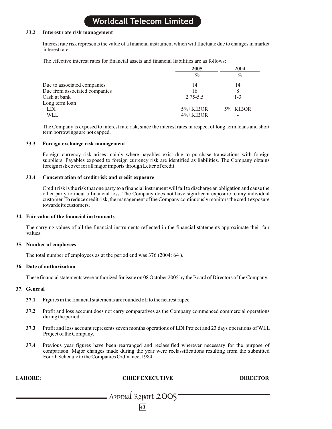#### **33.2 Interest rate risk management**

Interest rate risk represents the value of a financial instrument which will fluctuate due to changes in market interest rate.

The effective interest rates for financial assets and financial liabilities are as follows:

|                               | 2005          | 2004          |
|-------------------------------|---------------|---------------|
|                               | $\frac{0}{0}$ | $\frac{0}{0}$ |
| Due to associated companies   | 14            | 14            |
| Due from associated companies | 16            |               |
| Cash at bank                  | 2.75-5.5      | $1 - 3$       |
| Long term loan                |               |               |
| <b>LDI</b>                    | $5\% + KIBOR$ | $5\% + KIBOR$ |
| WLL                           | $4\% + KIBOR$ |               |

The Company is exposed to interest rate risk, since the interest rates in respect of long term loans and short term borrowings are not capped.

#### **33.3 Foreign exchange risk management**

Foreign currency risk arises mainly where payables exist due to purchase transactions with foreign suppliers. Payables exposed to foreign currency risk are identified as liabilities. The Company obtains foreign risk cover for all major imports through Letter of credit.

#### **33.4 Concentration of credit risk and credit exposure**

Credit risk is the risk that one party to a financial instrument will fail to discharge an obligation and cause the other party to incur a financial loss. The Company does not have significant exposure to any individual customer. To reduce credit risk, the management of the Company continuously monitors the credit exposure towards its customers.

#### **34. Fair value of the financial instruments**

The carrying values of all the financial instruments reflected in the financial statements approximate their fair values.

#### **35. Number of employees**

The total number of employees as at the period end was 376 (2004: 64 ).

#### **36. Date of authorization**

These financial statements were authorized for issue on 08 October 2005 by the Board of Directors of the Company.

#### **37. General**

- **37.1** Figures in the financial statements are rounded off to the nearest rupee.
- **37.2** Profit and loss account does not carry comparatives as the Company commenced commercial operations during the period.
- **37.3** Profit and loss account represents seven months operations of LDI Project and 23 days operations of WLL Project of the Company.
- **37.4** Previous year figures have been rearranged and reclassified wherever necessary for the purpose of comparison. Major changes made during the year were reclassifications resulting from the submitted Fourth Schedule to the Companies Ordinance, 1984.

#### **LAHORE: CHIEF EXECUTIVE DIRECTOR**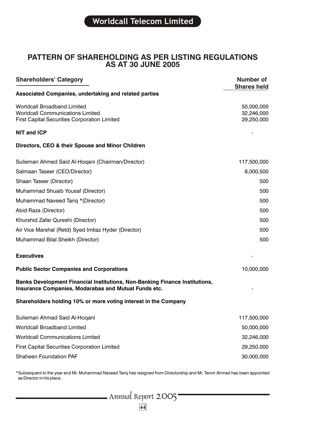### **PATTERN OF SHAREHOLDING AS PER LISTING REGULATIONS AS AT 30 JUNE 2005**

| <b>Shareholders' Category</b>                                                                                                        | <b>Number of</b><br><b>Shares held</b> |
|--------------------------------------------------------------------------------------------------------------------------------------|----------------------------------------|
| Associated Companies, undertaking and related parties                                                                                |                                        |
| <b>Worldcall Broadband Limited</b><br><b>Worldcall Communications Limited</b><br><b>First Capital Securities Corporation Limited</b> | 50,000,000<br>32,246,000<br>29,250,000 |
| <b>NIT and ICP</b>                                                                                                                   |                                        |
| Directors, CEO & their Spouse and Minor Children                                                                                     |                                        |
| Sulieman Ahmed Said Al-Hoqani (Chairman/Director)                                                                                    | 117,500,000                            |
| Salmaan Taseer (CEO/Director)                                                                                                        | 6,000,500                              |
| Shaan Taseer (Director)                                                                                                              | 500                                    |
| Muhammad Shuaib Yousaf (Director)                                                                                                    | 500                                    |
| Muhammad Naveed Tariq * (Director)                                                                                                   | 500                                    |
| Abid Raza (Director)                                                                                                                 | 500                                    |
| Khurshid Zafar Qureshi (Director)                                                                                                    | 500                                    |
| Air Vice Marshal (Retd) Syed Imtiaz Hyder (Director)                                                                                 | 500                                    |
| Muhammad Bilal Sheikh (Director)                                                                                                     | 500                                    |
| <b>Executives</b>                                                                                                                    |                                        |
| <b>Public Sector Companies and Corporations</b>                                                                                      | 10,000,000                             |
| Banks Development Financial Institutions, Non-Banking Finance Institutions,<br>Insurance Companies, Modarabas and Mutual Funds etc.  |                                        |
| Shareholders holding 10% or more voting interest in the Company                                                                      |                                        |
| Sulieman Ahmad Said Al-Hoqani                                                                                                        | 117,500,000                            |
| <b>Worldcall Broadband Limited</b>                                                                                                   | 50,000,000                             |
| <b>Worldcall Communications Limited</b>                                                                                              | 32,246,000                             |
| <b>First Capital Securities Corporation Limited</b>                                                                                  | 29,250,000                             |
| Shaheen Foundation PAF                                                                                                               | 30,000,000                             |

\*Subsequent to the year end Mr. Muhammad Naveed Tariq has resigned from Directorship and Mr. Tanvir Ahmad has been appointed as Director in his place.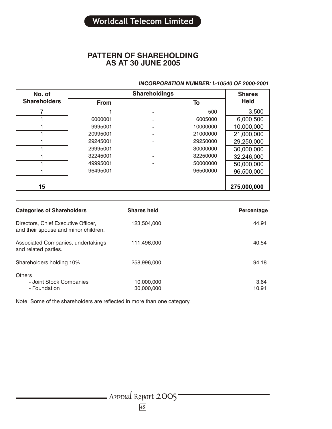### **PATTERN OF SHAREHOLDING AS AT 30 JUNE 2005**

#### *INCORPORATION NUMBER: L-10540 OF 2000-2001*

| No. of              |             | <b>Shareholdings</b> |          | <b>Shares</b> |
|---------------------|-------------|----------------------|----------|---------------|
| <b>Shareholders</b> | <b>From</b> |                      | To       | <b>Held</b>   |
|                     |             |                      | 500      | 3,500         |
|                     | 6000001     |                      | 6005000  | 6,000,500     |
|                     | 9995001     |                      | 10000000 | 10,000,000    |
|                     | 20995001    |                      | 21000000 | 21,000,000    |
|                     | 29245001    |                      | 29250000 | 29,250,000    |
|                     | 29995001    |                      | 30000000 | 30,000,000    |
|                     | 32245001    |                      | 32250000 | 32,246,000    |
|                     | 49995001    |                      | 50000000 | 50,000,000    |
|                     | 96495001    |                      | 96500000 | 96,500,000    |
|                     |             |                      |          |               |
| 15                  |             |                      |          | 275,000,000   |

| <b>Categories of Shareholders</b>                                           | <b>Shares held</b>       | Percentage    |  |
|-----------------------------------------------------------------------------|--------------------------|---------------|--|
| Directors, Chief Executive Officer,<br>and their spouse and minor children. | 123,504,000              | 44.91         |  |
| Associated Companies, undertakings<br>and related parties.                  | 111.496.000              | 40.54         |  |
| Shareholders holding 10%                                                    | 258.996.000              | 94.18         |  |
| <b>Others</b><br>- Joint Stock Companies<br>- Foundation                    | 10,000,000<br>30,000,000 | 3.64<br>10.91 |  |

Note: Some of the shareholders are reflected in more than one category.